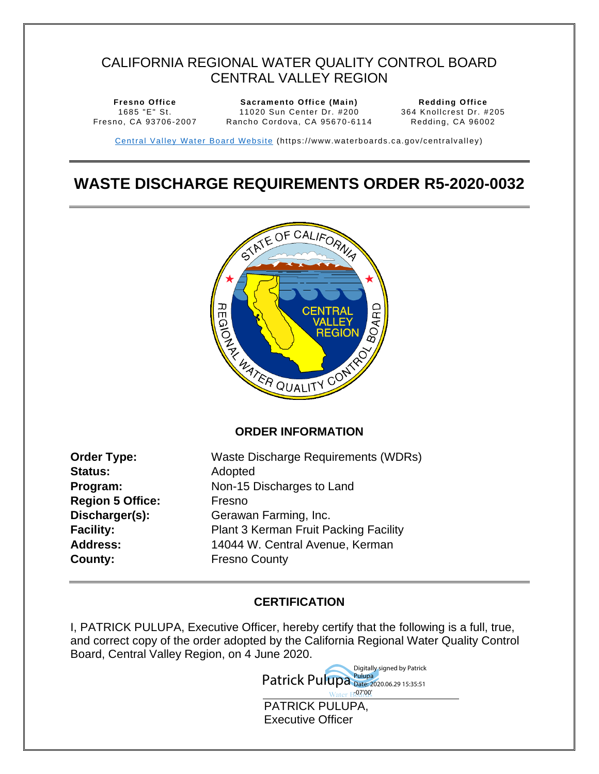# CALIFORNIA REGIONAL WATER QUALITY CONTROL BOARD CENTRAL VALLEY REGION

**Fresno Office**  1685 "E" St. Fresno, CA 93706-2007

**Sacramento Office (Main)**  11020 Sun Center Dr. #200 Rancho Cordova, CA 95670-6114

<span id="page-0-1"></span>**Redding Office**  364 Knollcrest Dr. #205 Redding, CA 96002

Central Valley Water Board Website (https://www.waterboards.ca.gov/centralvalley)

# <span id="page-0-0"></span>**WASTE DISCHARGE REQUIREMENTS ORDER R5-2020-0032**



## <span id="page-0-2"></span>**ORDER INFORMATION**

| Order Type:             | Waste Discharge Requirements (WDRs)          |
|-------------------------|----------------------------------------------|
| <b>Status:</b>          | Adopted                                      |
| Program:                | Non-15 Discharges to Land                    |
| <b>Region 5 Office:</b> | Fresno                                       |
| Discharger(s):          | Gerawan Farming, Inc.                        |
| <b>Facility:</b>        | <b>Plant 3 Kerman Fruit Packing Facility</b> |
| <b>Address:</b>         | 14044 W. Central Avenue, Kerman              |
| County:                 | <b>Fresno County</b>                         |

# <span id="page-0-4"></span><span id="page-0-3"></span>**CERTIFICATION**

I, PATRICK PULUPA, Executive Officer, hereby certify that the following is a full, true, and correct copy of the order adopted by the California Regional Water Quality Control Board, Central Valley Region, on 4 June 2020.

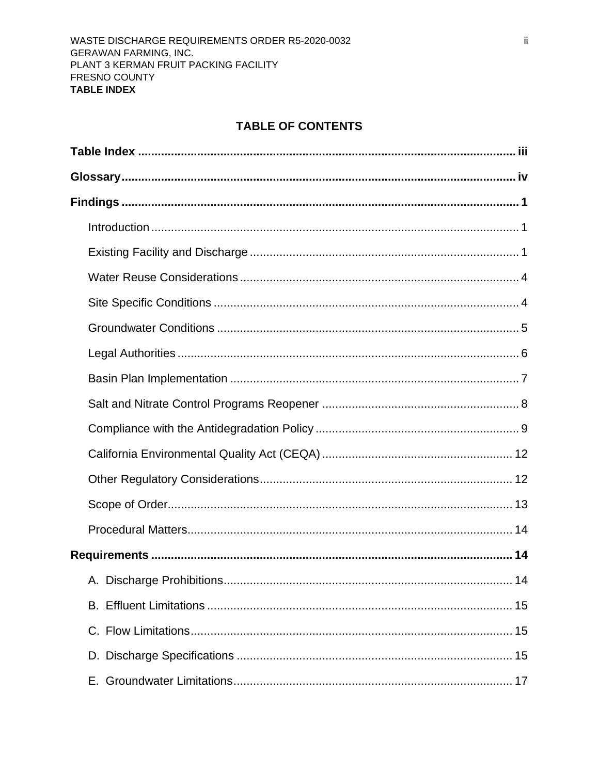# **TABLE OF CONTENTS**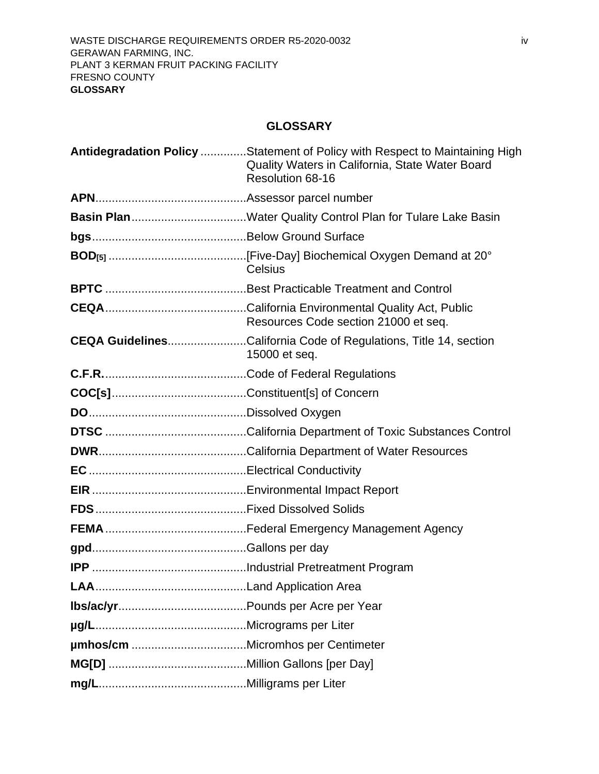# **GLOSSARY**

<span id="page-3-0"></span>

| Antidegradation Policy Statement of Policy with Respect to Maintaining High<br>Quality Waters in California, State Water Board<br>Resolution 68-16 |
|----------------------------------------------------------------------------------------------------------------------------------------------------|
|                                                                                                                                                    |
| Basin PlanWater Quality Control Plan for Tulare Lake Basin                                                                                         |
|                                                                                                                                                    |
| Celsius                                                                                                                                            |
|                                                                                                                                                    |
| Resources Code section 21000 et seq.                                                                                                               |
| <b>CEQA GuidelinesCalifornia Code of Regulations, Title 14, section</b><br>15000 et seq.                                                           |
|                                                                                                                                                    |
|                                                                                                                                                    |
|                                                                                                                                                    |
|                                                                                                                                                    |
|                                                                                                                                                    |
|                                                                                                                                                    |
|                                                                                                                                                    |
|                                                                                                                                                    |
|                                                                                                                                                    |
|                                                                                                                                                    |
|                                                                                                                                                    |
|                                                                                                                                                    |
|                                                                                                                                                    |
|                                                                                                                                                    |
|                                                                                                                                                    |
|                                                                                                                                                    |
|                                                                                                                                                    |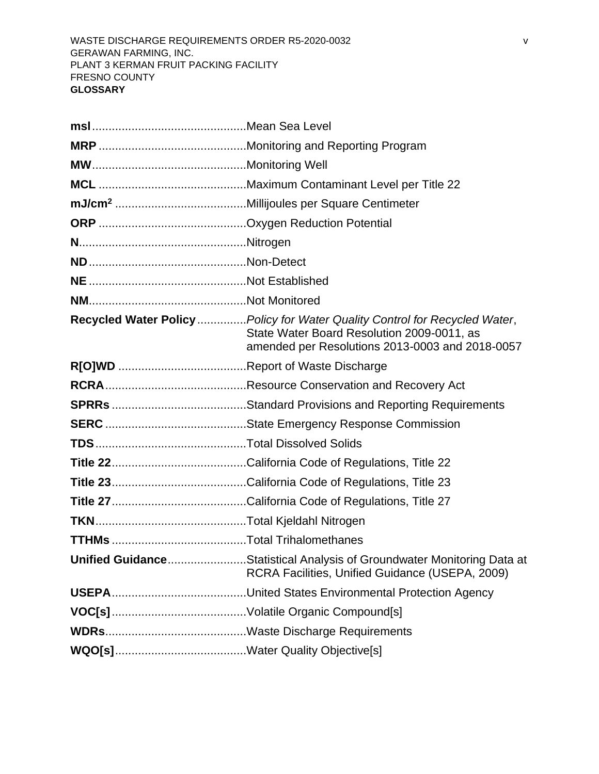| Recycled Water Policy Policy for Water Quality Control for Recycled Water,<br>State Water Board Resolution 2009-0011, as<br>amended per Resolutions 2013-0003 and 2018-0057 |
|-----------------------------------------------------------------------------------------------------------------------------------------------------------------------------|
|                                                                                                                                                                             |
|                                                                                                                                                                             |
|                                                                                                                                                                             |
|                                                                                                                                                                             |
|                                                                                                                                                                             |
|                                                                                                                                                                             |
|                                                                                                                                                                             |
|                                                                                                                                                                             |
|                                                                                                                                                                             |
|                                                                                                                                                                             |
| <b>Unified GuidanceStatistical Analysis of Groundwater Monitoring Data at</b><br>RCRA Facilities, Unified Guidance (USEPA, 2009)                                            |
|                                                                                                                                                                             |
|                                                                                                                                                                             |
|                                                                                                                                                                             |
|                                                                                                                                                                             |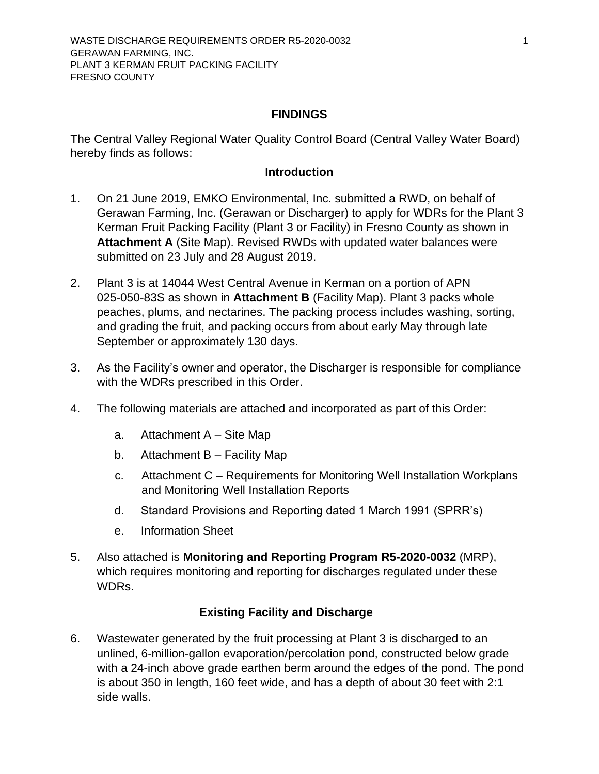## **FINDINGS**

<span id="page-5-0"></span>The Central Valley Regional Water Quality Control Board (Central Valley Water Board) hereby finds as follows:

### **Introduction**

- <span id="page-5-1"></span>1. On 21 June 2019, EMKO Environmental, Inc. submitted a RWD, on behalf of Gerawan Farming, Inc. (Gerawan or Discharger) to apply for WDRs for the Plant 3 Kerman Fruit Packing Facility (Plant 3 or Facility) in Fresno County as shown in **Attachment A** (Site Map). Revised RWDs with updated water balances were submitted on 23 July and 28 August 2019.
- 2. Plant 3 is at 14044 West Central Avenue in Kerman on a portion of APN 025-050-83S as shown in **Attachment B** (Facility Map). Plant 3 packs whole peaches, plums, and nectarines. The packing process includes washing, sorting, and grading the fruit, and packing occurs from about early May through late September or approximately 130 days.
- 3. As the Facility's owner and operator, the Discharger is responsible for compliance with the WDRs prescribed in this Order.
- 4. The following materials are attached and incorporated as part of this Order:
	- a. Attachment A Site Map
	- b. Attachment B Facility Map
	- c. Attachment C Requirements for Monitoring Well Installation Workplans and Monitoring Well Installation Reports
	- d. Standard Provisions and Reporting dated 1 March 1991 (SPRR's)
	- e. Information Sheet
- 5. Also attached is **Monitoring and Reporting Program [R5-2020-0032](#page-0-1)** (MRP), which requires monitoring and reporting for discharges regulated under these WDRs.

## **Existing Facility and Discharge**

<span id="page-5-2"></span>6. Wastewater generated by the fruit processing at Plant 3 is discharged to an unlined, 6-million-gallon evaporation/percolation pond, constructed below grade with a 24-inch above grade earthen berm around the edges of the pond. The pond is about 350 in length, 160 feet wide, and has a depth of about 30 feet with 2:1 side walls.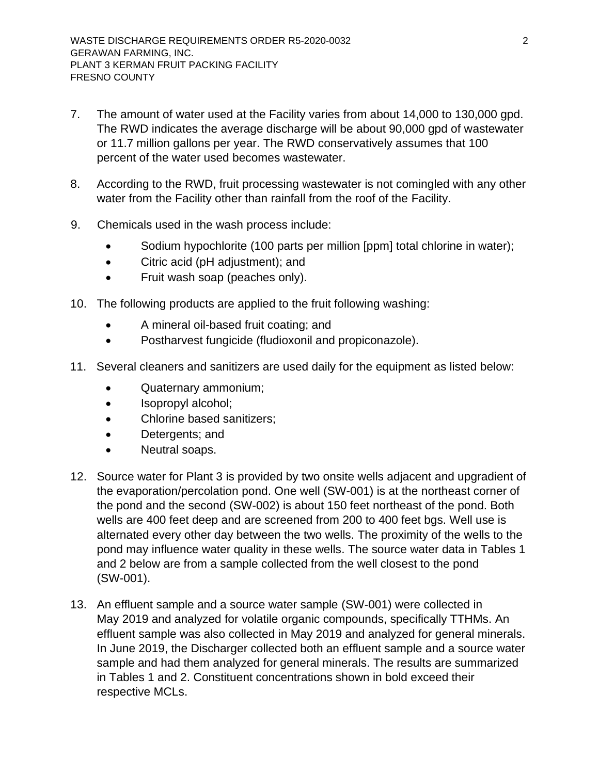- 7. The amount of water used at the Facility varies from about 14,000 to 130,000 gpd. The RWD indicates the average discharge will be about 90,000 gpd of wastewater or 11.7 million gallons per year. The RWD conservatively assumes that 100 percent of the water used becomes wastewater.
- 8. According to the RWD, fruit processing wastewater is not comingled with any other water from the Facility other than rainfall from the roof of the Facility.
- 9. Chemicals used in the wash process include:
	- Sodium hypochlorite (100 parts per million [ppm] total chlorine in water);
	- Citric acid (pH adjustment); and
	- Fruit wash soap (peaches only).
- 10. The following products are applied to the fruit following washing:
	- A mineral oil-based fruit coating; and
	- Postharvest fungicide (fludioxonil and propiconazole).
- 11. Several cleaners and sanitizers are used daily for the equipment as listed below:
	- Quaternary ammonium;
	- Isopropyl alcohol;
	- Chlorine based sanitizers;
	- Detergents; and
	- Neutral soaps.
- 12. Source water for Plant 3 is provided by two onsite wells adjacent and upgradient of the evaporation/percolation pond. One well (SW-001) is at the northeast corner of the pond and the second (SW-002) is about 150 feet northeast of the pond. Both wells are 400 feet deep and are screened from 200 to 400 feet bgs. Well use is alternated every other day between the two wells. The proximity of the wells to the pond may influence water quality in these wells. The source water data in Tables 1 and 2 below are from a sample collected from the well closest to the pond (SW-001).
- 13. An effluent sample and a source water sample (SW-001) were collected in May 2019 and analyzed for volatile organic compounds, specifically TTHMs. An effluent sample was also collected in May 2019 and analyzed for general minerals. In June 2019, the Discharger collected both an effluent sample and a source water sample and had them analyzed for general minerals. The results are summarized in Tables 1 and 2. Constituent concentrations shown in bold exceed their respective MCLs.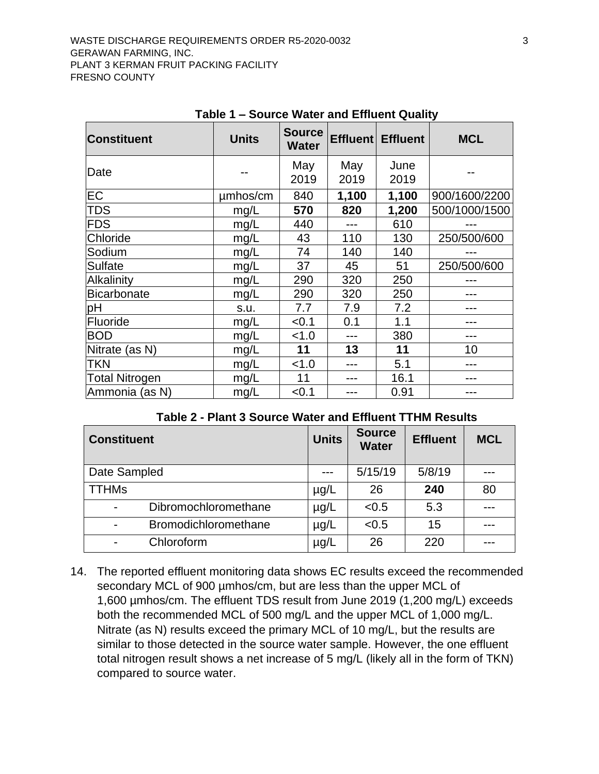| <b>Constituent</b>    | <b>Units</b> | <b>Source</b><br><b>Water</b> |             | <b>Effluent Effluent</b> | <b>MCL</b>    |
|-----------------------|--------------|-------------------------------|-------------|--------------------------|---------------|
| Date                  |              | May<br>2019                   | May<br>2019 | June<br>2019             |               |
| EC                    | umhos/cm     | 840                           | 1,100       | 1,100                    | 900/1600/2200 |
| <b>TDS</b>            | mg/L         | 570                           | 820         | 1,200                    | 500/1000/1500 |
| <b>FDS</b>            | mg/L         | 440                           |             | 610                      |               |
| Chloride              | mg/L         | 43                            | 110         | 130                      | 250/500/600   |
| Sodium                | mg/L         | 74                            | 140         | 140                      |               |
| <b>Sulfate</b>        | mg/L         | 37                            | 45          | 51                       | 250/500/600   |
| Alkalinity            | mg/L         | 290                           | 320         | 250                      |               |
| <b>Bicarbonate</b>    | mg/L         | 290                           | 320         | 250                      |               |
| pH                    | s.u.         | 7.7                           | 7.9         | 7.2                      |               |
| Fluoride              | mg/L         | < 0.1                         | 0.1         | 1.1                      |               |
| <b>BOD</b>            | mg/L         | < 1.0                         |             | 380                      |               |
| Nitrate (as N)        | mg/L         | 11                            | 13          | 11                       | 10            |
| <b>TKN</b>            | mg/L         | < 1.0                         |             | 5.1                      |               |
| <b>Total Nitrogen</b> | mg/L         | 11                            |             | 16.1                     |               |
| Ammonia (as N)        | mg/L         | < 0.1                         |             | 0.91                     |               |

**Table 1 – Source Water and Effluent Quality** 

| Table 2 - Plant 3 Source Water and Effluent TTHM Results |
|----------------------------------------------------------|
|----------------------------------------------------------|

| <b>Constituent</b> |                             | <b>Units</b> | <b>Source</b><br><b>Water</b> | <b>Effluent</b> | <b>MCL</b> |
|--------------------|-----------------------------|--------------|-------------------------------|-----------------|------------|
| Date Sampled       |                             | ---          | 5/15/19                       | 5/8/19          |            |
| <b>TTHMs</b>       |                             | $\mu$ g/L    | 26                            | 240             | 80         |
|                    | Dibromochloromethane        | $\mu$ g/L    | < 0.5                         | 5.3             | ---        |
|                    | <b>Bromodichloromethane</b> | $\mu$ g/L    | < 0.5                         | 15              | ---        |
|                    | Chloroform                  | $\mu$ g/L    | 26                            | 220             |            |

14. The reported effluent monitoring data shows EC results exceed the recommended secondary MCL of 900 µmhos/cm, but are less than the upper MCL of 1,600 µmhos/cm. The effluent TDS result from June 2019 (1,200 mg/L) exceeds both the recommended MCL of 500 mg/L and the upper MCL of 1,000 mg/L. Nitrate (as N) results exceed the primary MCL of 10 mg/L, but the results are similar to those detected in the source water sample. However, the one effluent total nitrogen result shows a net increase of 5 mg/L (likely all in the form of TKN) compared to source water.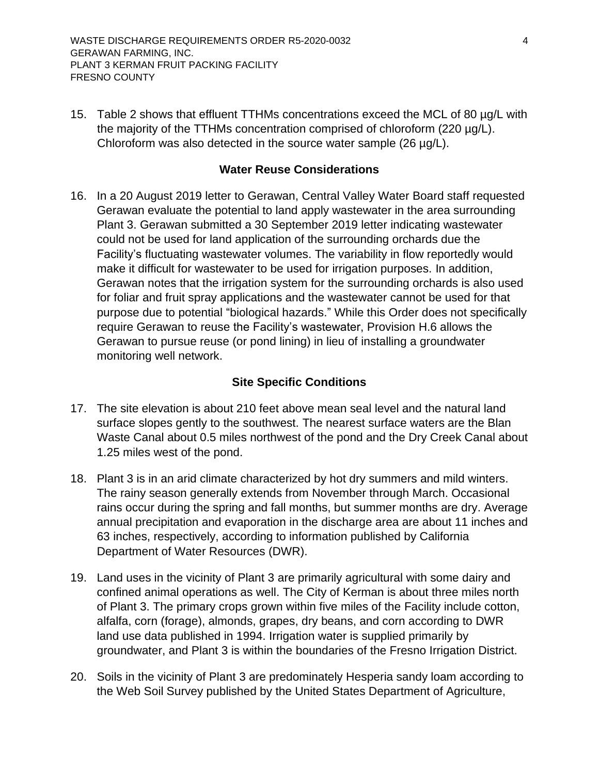15. Table 2 shows that effluent TTHMs concentrations exceed the MCL of 80 µg/L with the majority of the TTHMs concentration comprised of chloroform (220 µg/L). Chloroform was also detected in the source water sample (26 µg/L).

## **Water Reuse Considerations**

<span id="page-8-0"></span>16. In a 20 August 2019 letter to Gerawan, Central Valley Water Board staff requested Gerawan evaluate the potential to land apply wastewater in the area surrounding Plant 3. Gerawan submitted a 30 September 2019 letter indicating wastewater could not be used for land application of the surrounding orchards due the Facility's fluctuating wastewater volumes. The variability in flow reportedly would make it difficult for wastewater to be used for irrigation purposes. In addition, Gerawan notes that the irrigation system for the surrounding orchards is also used for foliar and fruit spray applications and the wastewater cannot be used for that purpose due to potential "biological hazards." While this Order does not specifically require Gerawan to reuse the Facility's wastewater, Provision H.6 allows the Gerawan to pursue reuse (or pond lining) in lieu of installing a groundwater monitoring well network.

# **Site Specific Conditions**

- <span id="page-8-1"></span>17. The site elevation is about 210 feet above mean seal level and the natural land surface slopes gently to the southwest. The nearest surface waters are the Blan Waste Canal about 0.5 miles northwest of the pond and the Dry Creek Canal about 1.25 miles west of the pond.
- 18. Plant 3 is in an arid climate characterized by hot dry summers and mild winters. The rainy season generally extends from November through March. Occasional rains occur during the spring and fall months, but summer months are dry. Average annual precipitation and evaporation in the discharge area are about 11 inches and 63 inches, respectively, according to information published by California Department of Water Resources (DWR).
- 19. Land uses in the vicinity of Plant 3 are primarily agricultural with some dairy and confined animal operations as well. The City of Kerman is about three miles north of Plant 3. The primary crops grown within five miles of the Facility include cotton, alfalfa, corn (forage), almonds, grapes, dry beans, and corn according to DWR land use data published in 1994. Irrigation water is supplied primarily by groundwater, and Plant 3 is within the boundaries of the Fresno Irrigation District.
- 20. Soils in the vicinity of Plant 3 are predominately Hesperia sandy loam according to the Web Soil Survey published by the United States Department of Agriculture,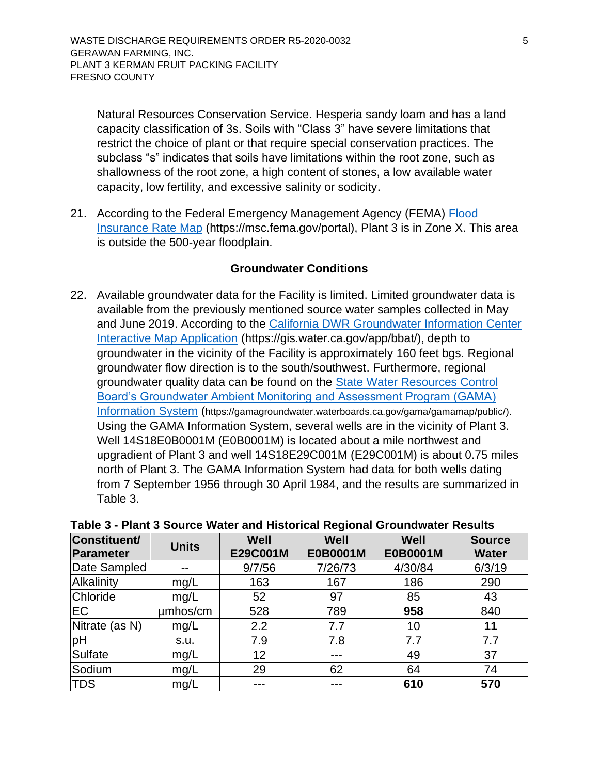Natural Resources Conservation Service. Hesperia sandy loam and has a land capacity classification of 3s. Soils with "Class 3" have severe limitations that restrict the choice of plant or that require special conservation practices. The subclass "s" indicates that soils have limitations within the root zone, such as shallowness of the root zone, a high content of stones, a low available water capacity, low fertility, and excessive salinity or sodicity.

21. According to the Federal Emergency Management Agency (FEMA) [Flood](https://msc.fema.gov/portal)  [Insurance Rate Map](https://msc.fema.gov/portal) (https://msc.fema.gov/portal), Plant 3 is in Zone X. This area is outside the 500-year floodplain.

## **Groundwater Conditions**

<span id="page-9-0"></span>22. Available groundwater data for the Facility is limited. Limited groundwater data is available from the previously mentioned source water samples collected in May and June 2019. According to the [California DWR Groundwater Information Center](https://gis.water.ca.gov/app/bbat/)  [Interactive Map Application](https://gis.water.ca.gov/app/bbat/) (https://gis.water.ca.gov/app/bbat/), depth to groundwater in the vicinity of the Facility is approximately 160 feet bgs. Regional groundwater flow direction is to the south/southwest. Furthermore, regional groundwater quality data can be found on the [State Water Resources Control](https://gamagroundwater.waterboards.ca.gov/gama/gamamap/public/)  [Board's Groundwater Ambient Monitoring and Assessment Program \(GAMA\)](https://gamagroundwater.waterboards.ca.gov/gama/gamamap/public/)  [Information System](https://gamagroundwater.waterboards.ca.gov/gama/gamamap/public/) (https://gamagroundwater.waterboards.ca.gov/gama/gamamap/public/). Using the GAMA Information System, several wells are in the vicinity of Plant 3. Well 14S18E0B0001M (E0B0001M) is located about a mile northwest and upgradient of Plant 3 and well 14S18E29C001M (E29C001M) is about 0.75 miles north of Plant 3. The GAMA Information System had data for both wells dating from 7 September 1956 through 30 April 1984, and the results are summarized in Table 3.

| Constituent/<br><b>Parameter</b> | <b>Units</b> | Well<br>E29C001M | Well<br>E0B0001M | Well<br>E0B0001M | <b>Source</b><br><b>Water</b> |
|----------------------------------|--------------|------------------|------------------|------------------|-------------------------------|
| Date Sampled                     | --           | 9/7/56           | 7/26/73          | 4/30/84          | 6/3/19                        |
| Alkalinity                       | mg/L         | 163              | 167              | 186              | 290                           |
| Chloride                         | mg/L         | 52               | 97               | 85               | 43                            |
| <b>EC</b>                        | umhos/cm     | 528              | 789              | 958              | 840                           |
| Nitrate (as N)                   | mg/L         | 2.2              | 7.7              | 10               | 11                            |
| pH                               | <b>S.U.</b>  | 7.9              | 7.8              | 7.7              | 7.7                           |
| Sulfate                          | mg/L         | 12               |                  | 49               | 37                            |
| Sodium                           | mg/L         | 29               | 62               | 64               | 74                            |
| <b>TDS</b>                       | mg/L         |                  |                  | 610              | 570                           |

### **Table 3 - Plant 3 Source Water and Historical Regional Groundwater Results**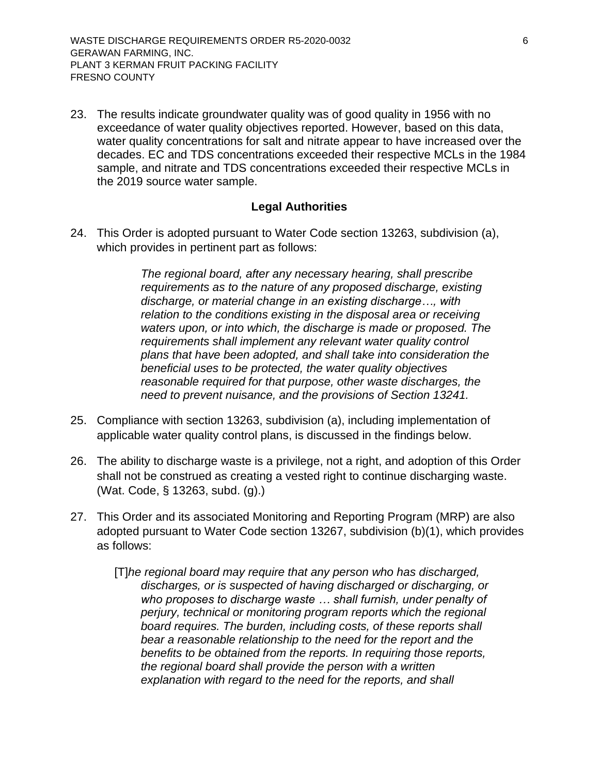23. The results indicate groundwater quality was of good quality in 1956 with no exceedance of water quality objectives reported. However, based on this data, water quality concentrations for salt and nitrate appear to have increased over the decades. EC and TDS concentrations exceeded their respective MCLs in the 1984 sample, and nitrate and TDS concentrations exceeded their respective MCLs in the 2019 source water sample.

### **Legal Authorities**

<span id="page-10-0"></span>24. This Order is adopted pursuant to Water Code section 13263, subdivision (a), which provides in pertinent part as follows:

> *The regional board, after any necessary hearing, shall prescribe requirements as to the nature of any proposed discharge, existing discharge, or material change in an existing discharge…, with relation to the conditions existing in the disposal area or receiving waters upon, or into which, the discharge is made or proposed. The requirements shall implement any relevant water quality control plans that have been adopted, and shall take into consideration the beneficial uses to be protected, the water quality objectives reasonable required for that purpose, other waste discharges, the need to prevent nuisance, and the provisions of Section 13241.*

- 25. Compliance with section 13263, subdivision (a), including implementation of applicable water quality control plans, is discussed in the findings below.
- 26. The ability to discharge waste is a privilege, not a right, and adoption of this Order shall not be construed as creating a vested right to continue discharging waste. (Wat. Code, § 13263, subd. (g).)
- 27. This Order and its associated Monitoring and Reporting Program (MRP) are also adopted pursuant to Water Code section 13267, subdivision (b)(1), which provides as follows:
	- [T]*he regional board may require that any person who has discharged, discharges, or is suspected of having discharged or discharging, or who proposes to discharge waste … shall furnish, under penalty of perjury, technical or monitoring program reports which the regional board requires. The burden, including costs, of these reports shall bear a reasonable relationship to the need for the report and the benefits to be obtained from the reports. In requiring those reports, the regional board shall provide the person with a written explanation with regard to the need for the reports, and shall*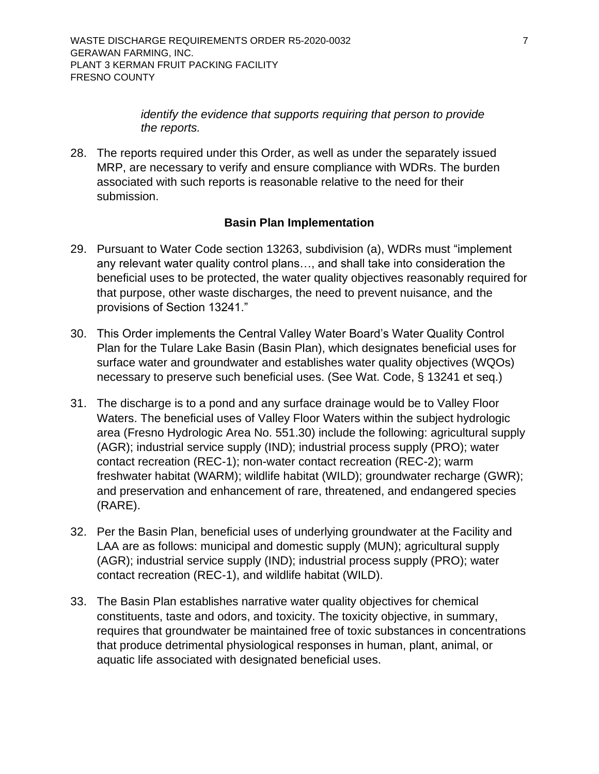## *identify the evidence that supports requiring that person to provide the reports.*

28. The reports required under this Order, as well as under the separately issued MRP, are necessary to verify and ensure compliance with WDRs. The burden associated with such reports is reasonable relative to the need for their submission.

## **Basin Plan Implementation**

- <span id="page-11-0"></span>29. Pursuant to Water Code section 13263, subdivision (a), WDRs must "implement any relevant water quality control plans…, and shall take into consideration the beneficial uses to be protected, the water quality objectives reasonably required for that purpose, other waste discharges, the need to prevent nuisance, and the provisions of Section 13241."
- 30. This Order implements the Central Valley Water Board's Water Quality Control Plan for the Tulare Lake Basin (Basin Plan), which designates beneficial uses for surface water and groundwater and establishes water quality objectives (WQOs) necessary to preserve such beneficial uses. (See Wat. Code, § 13241 et seq.)
- 31. The discharge is to a pond and any surface drainage would be to Valley Floor Waters. The beneficial uses of Valley Floor Waters within the subject hydrologic area (Fresno Hydrologic Area No. 551.30) include the following: agricultural supply (AGR); industrial service supply (IND); industrial process supply (PRO); water contact recreation (REC-1); non-water contact recreation (REC-2); warm freshwater habitat (WARM); wildlife habitat (WILD); groundwater recharge (GWR); and preservation and enhancement of rare, threatened, and endangered species (RARE).
- 32. Per the Basin Plan, beneficial uses of underlying groundwater at the Facility and LAA are as follows: municipal and domestic supply (MUN); agricultural supply (AGR); industrial service supply (IND); industrial process supply (PRO); water contact recreation (REC-1), and wildlife habitat (WILD).
- 33. The Basin Plan establishes narrative water quality objectives for chemical constituents, taste and odors, and toxicity. The toxicity objective, in summary, requires that groundwater be maintained free of toxic substances in concentrations that produce detrimental physiological responses in human, plant, animal, or aquatic life associated with designated beneficial uses.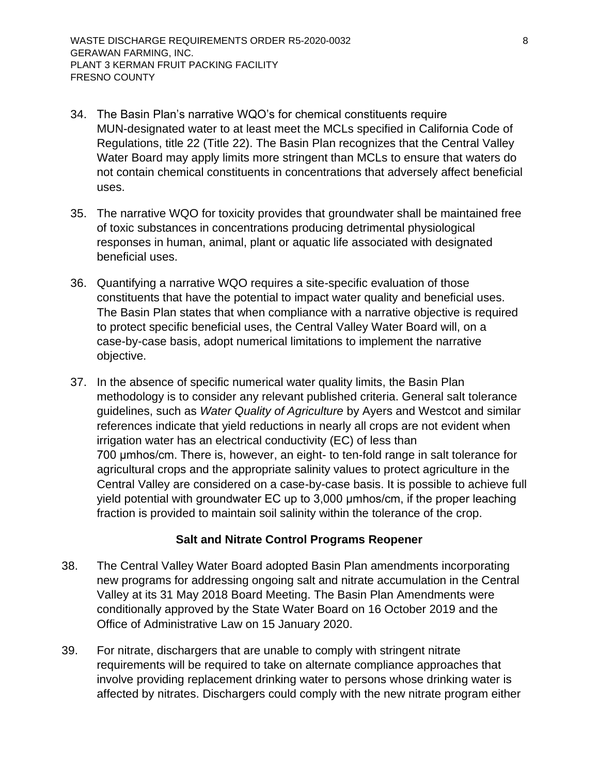- 34. The Basin Plan's narrative WQO's for chemical constituents require MUN-designated water to at least meet the MCLs specified in California Code of Regulations, title 22 (Title 22). The Basin Plan recognizes that the Central Valley Water Board may apply limits more stringent than MCLs to ensure that waters do not contain chemical constituents in concentrations that adversely affect beneficial uses.
- 35. The narrative WQO for toxicity provides that groundwater shall be maintained free of toxic substances in concentrations producing detrimental physiological responses in human, animal, plant or aquatic life associated with designated beneficial uses.
- 36. Quantifying a narrative WQO requires a site-specific evaluation of those constituents that have the potential to impact water quality and beneficial uses. The Basin Plan states that when compliance with a narrative objective is required to protect specific beneficial uses, the Central Valley Water Board will, on a case-by-case basis, adopt numerical limitations to implement the narrative objective.
- 37. In the absence of specific numerical water quality limits, the Basin Plan methodology is to consider any relevant published criteria. General salt tolerance guidelines, such as *Water Quality of Agriculture* by Ayers and Westcot and similar references indicate that yield reductions in nearly all crops are not evident when irrigation water has an electrical conductivity (EC) of less than 700 μmhos/cm. There is, however, an eight- to ten-fold range in salt tolerance for agricultural crops and the appropriate salinity values to protect agriculture in the Central Valley are considered on a case-by-case basis. It is possible to achieve full yield potential with groundwater EC up to 3,000 μmhos/cm, if the proper leaching fraction is provided to maintain soil salinity within the tolerance of the crop.

## **Salt and Nitrate Control Programs Reopener**

- <span id="page-12-0"></span>38. The Central Valley Water Board adopted Basin Plan amendments incorporating new programs for addressing ongoing salt and nitrate accumulation in the Central Valley at its 31 May 2018 Board Meeting. The Basin Plan Amendments were conditionally approved by the State Water Board on 16 October 2019 and the Office of Administrative Law on 15 January 2020.
- 39. For nitrate, dischargers that are unable to comply with stringent nitrate requirements will be required to take on alternate compliance approaches that involve providing replacement drinking water to persons whose drinking water is affected by nitrates. Dischargers could comply with the new nitrate program either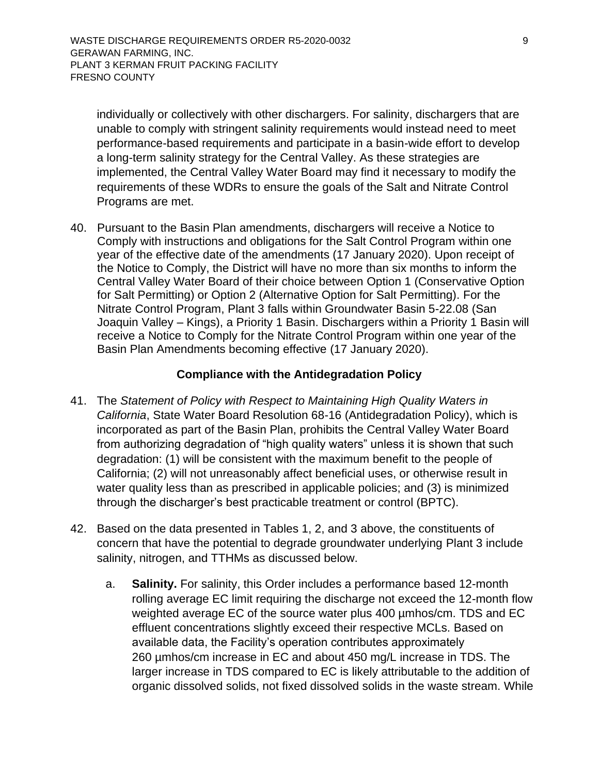individually or collectively with other dischargers. For salinity, dischargers that are unable to comply with stringent salinity requirements would instead need to meet performance-based requirements and participate in a basin-wide effort to develop a long-term salinity strategy for the Central Valley. As these strategies are implemented, the Central Valley Water Board may find it necessary to modify the requirements of these WDRs to ensure the goals of the Salt and Nitrate Control Programs are met.

40. Pursuant to the Basin Plan amendments, dischargers will receive a Notice to Comply with instructions and obligations for the Salt Control Program within one year of the effective date of the amendments (17 January 2020). Upon receipt of the Notice to Comply, the District will have no more than six months to inform the Central Valley Water Board of their choice between Option 1 (Conservative Option for Salt Permitting) or Option 2 (Alternative Option for Salt Permitting). For the Nitrate Control Program, Plant 3 falls within Groundwater Basin 5-22.08 (San Joaquin Valley – Kings), a Priority 1 Basin. Dischargers within a Priority 1 Basin will receive a Notice to Comply for the Nitrate Control Program within one year of the Basin Plan Amendments becoming effective (17 January 2020).

## **Compliance with the Antidegradation Policy**

- <span id="page-13-0"></span>41. The *Statement of Policy with Respect to Maintaining High Quality Waters in California*, State Water Board Resolution 68-16 (Antidegradation Policy), which is incorporated as part of the Basin Plan, prohibits the Central Valley Water Board from authorizing degradation of "high quality waters" unless it is shown that such degradation: (1) will be consistent with the maximum benefit to the people of California; (2) will not unreasonably affect beneficial uses, or otherwise result in water quality less than as prescribed in applicable policies; and (3) is minimized through the discharger's best practicable treatment or control (BPTC).
- 42. Based on the data presented in Tables 1, 2, and 3 above, the constituents of concern that have the potential to degrade groundwater underlying Plant 3 include salinity, nitrogen, and TTHMs as discussed below.
	- a. **Salinity.** For salinity, this Order includes a performance based 12-month rolling average EC limit requiring the discharge not exceed the 12-month flow weighted average EC of the source water plus 400 umhos/cm. TDS and EC effluent concentrations slightly exceed their respective MCLs. Based on available data, the Facility's operation contributes approximately 260 µmhos/cm increase in EC and about 450 mg/L increase in TDS. The larger increase in TDS compared to EC is likely attributable to the addition of organic dissolved solids, not fixed dissolved solids in the waste stream. While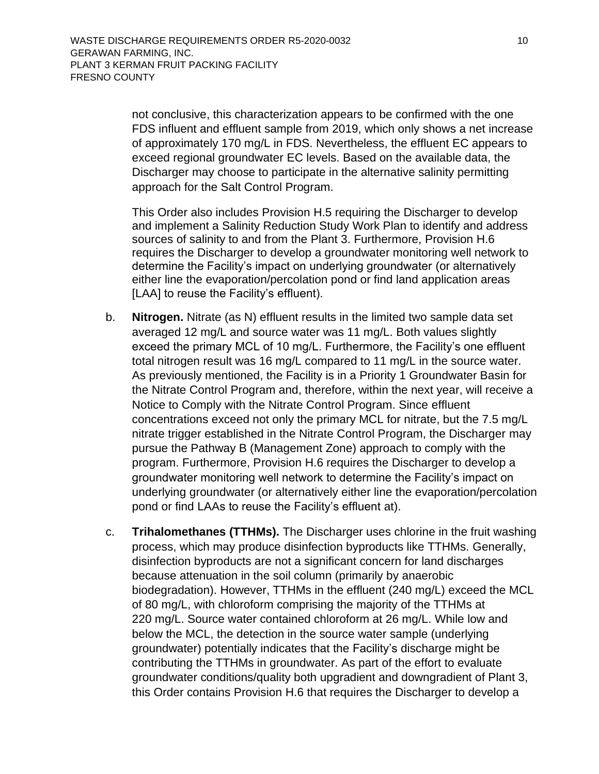not conclusive, this characterization appears to be confirmed with the one FDS influent and effluent sample from 2019, which only shows a net increase of approximately 170 mg/L in FDS. Nevertheless, the effluent EC appears to exceed regional groundwater EC levels. Based on the available data, the Discharger may choose to participate in the alternative salinity permitting approach for the Salt Control Program.

This Order also includes Provision H.5 requiring the Discharger to develop and implement a Salinity Reduction Study Work Plan to identify and address sources of salinity to and from the Plant 3. Furthermore, Provision H.6 requires the Discharger to develop a groundwater monitoring well network to determine the Facility's impact on underlying groundwater (or alternatively either line the evaporation/percolation pond or find land application areas [LAA] to reuse the Facility's effluent).

- b. **Nitrogen.** Nitrate (as N) effluent results in the limited two sample data set averaged 12 mg/L and source water was 11 mg/L. Both values slightly exceed the primary MCL of 10 mg/L. Furthermore, the Facility's one effluent total nitrogen result was 16 mg/L compared to 11 mg/L in the source water. As previously mentioned, the Facility is in a Priority 1 Groundwater Basin for the Nitrate Control Program and, therefore, within the next year, will receive a Notice to Comply with the Nitrate Control Program. Since effluent concentrations exceed not only the primary MCL for nitrate, but the 7.5 mg/L nitrate trigger established in the Nitrate Control Program, the Discharger may pursue the Pathway B (Management Zone) approach to comply with the program. Furthermore, Provision H.6 requires the Discharger to develop a groundwater monitoring well network to determine the Facility's impact on underlying groundwater (or alternatively either line the evaporation/percolation pond or find LAAs to reuse the Facility's effluent at).
- c. **Trihalomethanes (TTHMs).** The Discharger uses chlorine in the fruit washing process, which may produce disinfection byproducts like TTHMs. Generally, disinfection byproducts are not a significant concern for land discharges because attenuation in the soil column (primarily by anaerobic biodegradation). However, TTHMs in the effluent (240 mg/L) exceed the MCL of 80 mg/L, with chloroform comprising the majority of the TTHMs at 220 mg/L. Source water contained chloroform at 26 mg/L. While low and below the MCL, the detection in the source water sample (underlying groundwater) potentially indicates that the Facility's discharge might be contributing the TTHMs in groundwater. As part of the effort to evaluate groundwater conditions/quality both upgradient and downgradient of Plant 3, this Order contains Provision H.6 that requires the Discharger to develop a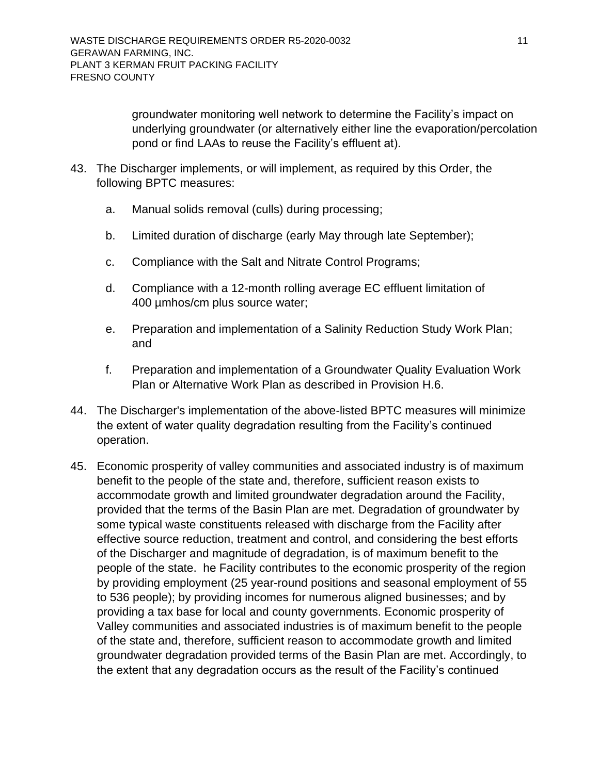groundwater monitoring well network to determine the Facility's impact on underlying groundwater (or alternatively either line the evaporation/percolation pond or find LAAs to reuse the Facility's effluent at).

- 43. The Discharger implements, or will implement, as required by this Order, the following BPTC measures:
	- a. Manual solids removal (culls) during processing;
	- b. Limited duration of discharge (early May through late September);
	- c. Compliance with the Salt and Nitrate Control Programs;
	- d. Compliance with a 12-month rolling average EC effluent limitation of 400 µmhos/cm plus source water;
	- e. Preparation and implementation of a Salinity Reduction Study Work Plan; and
	- f. Preparation and implementation of a Groundwater Quality Evaluation Work Plan or Alternative Work Plan as described in Provision H.6.
- 44. The Discharger's implementation of the above-listed BPTC measures will minimize the extent of water quality degradation resulting from the Facility's continued operation.
- 45. Economic prosperity of valley communities and associated industry is of maximum benefit to the people of the state and, therefore, sufficient reason exists to accommodate growth and limited groundwater degradation around the Facility, provided that the terms of the Basin Plan are met. Degradation of groundwater by some typical waste constituents released with discharge from the Facility after effective source reduction, treatment and control, and considering the best efforts of the Discharger and magnitude of degradation, is of maximum benefit to the people of the state. he Facility contributes to the economic prosperity of the region by providing employment (25 year-round positions and seasonal employment of 55 to 536 people); by providing incomes for numerous aligned businesses; and by providing a tax base for local and county governments. Economic prosperity of Valley communities and associated industries is of maximum benefit to the people of the state and, therefore, sufficient reason to accommodate growth and limited groundwater degradation provided terms of the Basin Plan are met. Accordingly, to the extent that any degradation occurs as the result of the Facility's continued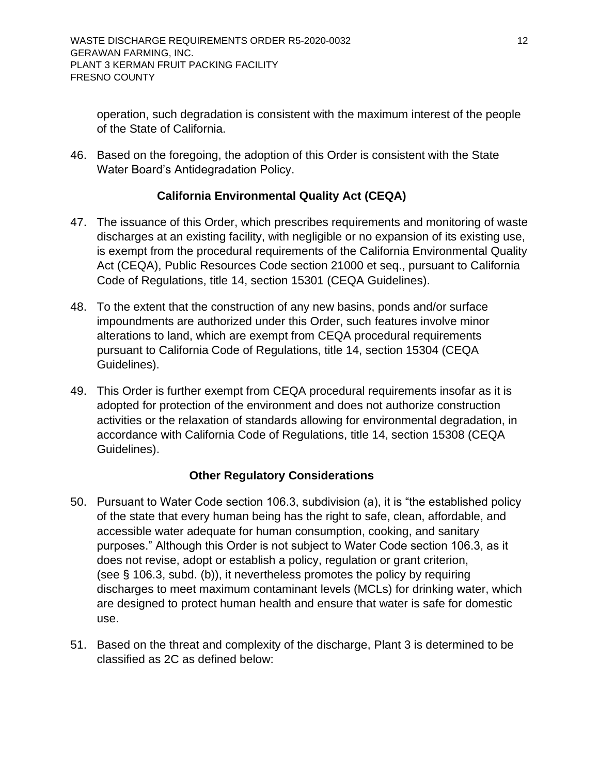operation, such degradation is consistent with the maximum interest of the people of the State of California.

46. Based on the foregoing, the adoption of this Order is consistent with the State Water Board's Antidegradation Policy.

# **California Environmental Quality Act (CEQA)**

- <span id="page-16-0"></span>47. The issuance of this Order, which prescribes requirements and monitoring of waste discharges at an existing facility, with negligible or no expansion of its existing use, is exempt from the procedural requirements of the California Environmental Quality Act (CEQA), Public Resources Code section 21000 et seq., pursuant to California Code of Regulations, title 14, section 15301 (CEQA Guidelines).
- 48. To the extent that the construction of any new basins, ponds and/or surface impoundments are authorized under this Order, such features involve minor alterations to land, which are exempt from CEQA procedural requirements pursuant to California Code of Regulations, title 14, section 15304 (CEQA Guidelines).
- 49. This Order is further exempt from CEQA procedural requirements insofar as it is adopted for protection of the environment and does not authorize construction activities or the relaxation of standards allowing for environmental degradation, in accordance with California Code of Regulations, title 14, section 15308 (CEQA Guidelines).

# **Other Regulatory Considerations**

- <span id="page-16-1"></span>50. Pursuant to Water Code section 106.3, subdivision (a), it is "the established policy of the state that every human being has the right to safe, clean, affordable, and accessible water adequate for human consumption, cooking, and sanitary purposes." Although this Order is not subject to Water Code section 106.3, as it does not revise, adopt or establish a policy, regulation or grant criterion, (see § 106.3, subd. (b)), it nevertheless promotes the policy by requiring discharges to meet maximum contaminant levels (MCLs) for drinking water, which are designed to protect human health and ensure that water is safe for domestic use.
- 51. Based on the threat and complexity of the discharge, Plant 3 is determined to be classified as 2C as defined below: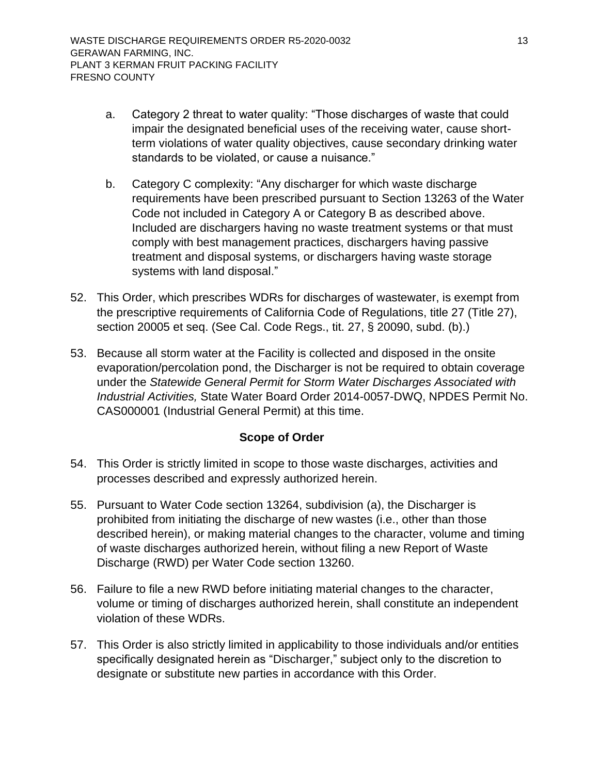- a. Category 2 threat to water quality: "Those discharges of waste that could impair the designated beneficial uses of the receiving water, cause shortterm violations of water quality objectives, cause secondary drinking water standards to be violated, or cause a nuisance."
- b. Category C complexity: "Any discharger for which waste discharge requirements have been prescribed pursuant to Section 13263 of the Water Code not included in Category A or Category B as described above. Included are dischargers having no waste treatment systems or that must comply with best management practices, dischargers having passive treatment and disposal systems, or dischargers having waste storage systems with land disposal."
- 52. This Order, which prescribes WDRs for discharges of wastewater, is exempt from the prescriptive requirements of California Code of Regulations, title 27 (Title 27), section 20005 et seq. (See Cal. Code Regs., tit. 27, § 20090, subd. (b).)
- 53. Because all storm water at the Facility is collected and disposed in the onsite evaporation/percolation pond, the Discharger is not be required to obtain coverage under the *Statewide General Permit for Storm Water Discharges Associated with Industrial Activities,* State Water Board Order 2014-0057-DWQ, NPDES Permit No. CAS000001 (Industrial General Permit) at this time.

# **Scope of Order**

- <span id="page-17-0"></span>54. This Order is strictly limited in scope to those waste discharges, activities and processes described and expressly authorized herein.
- 55. Pursuant to Water Code section 13264, subdivision (a), the Discharger is prohibited from initiating the discharge of new wastes (i.e., other than those described herein), or making material changes to the character, volume and timing of waste discharges authorized herein, without filing a new Report of Waste Discharge (RWD) per Water Code section 13260.
- 56. Failure to file a new RWD before initiating material changes to the character, volume or timing of discharges authorized herein, shall constitute an independent violation of these WDRs.
- 57. This Order is also strictly limited in applicability to those individuals and/or entities specifically designated herein as "Discharger," subject only to the discretion to designate or substitute new parties in accordance with this Order.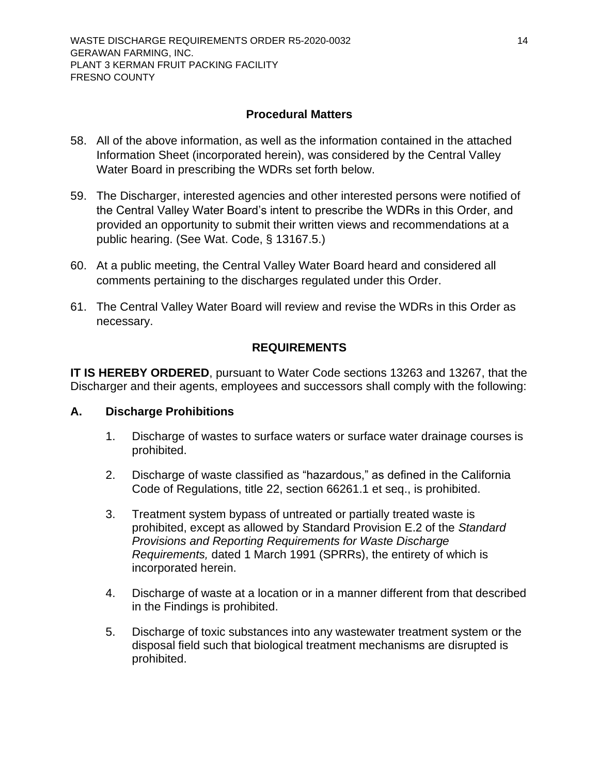## **Procedural Matters**

- <span id="page-18-0"></span>58. All of the above information, as well as the information contained in the attached Information Sheet (incorporated herein), was considered by the Central Valley Water Board in prescribing the WDRs set forth below.
- 59. The Discharger, interested agencies and other interested persons were notified of the Central Valley Water Board's intent to prescribe the WDRs in this Order, and provided an opportunity to submit their written views and recommendations at a public hearing. (See Wat. Code, § 13167.5.)
- 60. At a public meeting, the Central Valley Water Board heard and considered all comments pertaining to the discharges regulated under this Order.
- 61. The Central Valley Water Board will review and revise the WDRs in this Order as necessary.

## **REQUIREMENTS**

<span id="page-18-1"></span>**IT IS HEREBY ORDERED**, pursuant to Water Code sections 13263 and 13267, that the Discharger and their agents, employees and successors shall comply with the following:

## <span id="page-18-2"></span>**A. Discharge Prohibitions**

- 1. Discharge of wastes to surface waters or surface water drainage courses is prohibited.
- 2. Discharge of waste classified as "hazardous," as defined in the California Code of Regulations, title 22, section 66261.1 et seq., is prohibited.
- 3. Treatment system bypass of untreated or partially treated waste is prohibited, except as allowed by Standard Provision E.2 of the *Standard Provisions and Reporting Requirements for Waste Discharge Requirements,* dated 1 March 1991 (SPRRs), the entirety of which is incorporated herein.
- 4. Discharge of waste at a location or in a manner different from that described in the Findings is prohibited.
- 5. Discharge of toxic substances into any wastewater treatment system or the disposal field such that biological treatment mechanisms are disrupted is prohibited.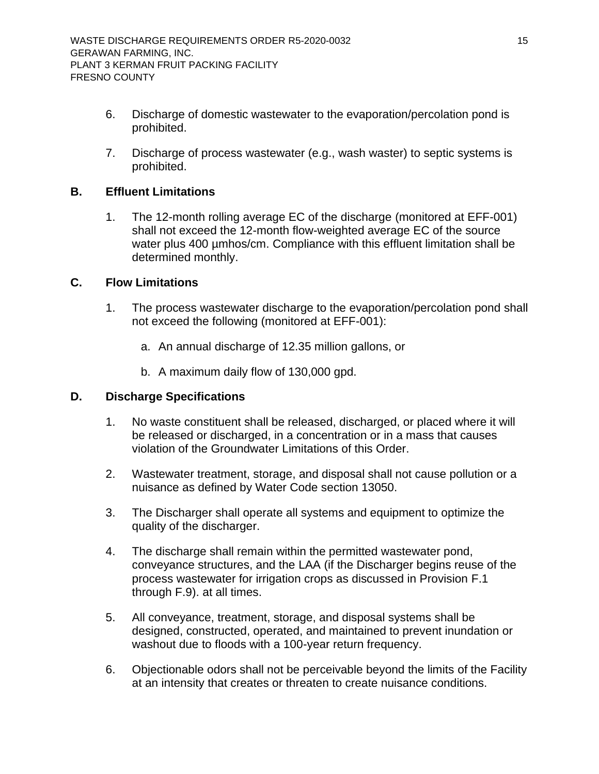- 6. Discharge of domestic wastewater to the evaporation/percolation pond is prohibited.
- 7. Discharge of process wastewater (e.g., wash waster) to septic systems is prohibited.

## <span id="page-19-0"></span>**B. Effluent Limitations**

1. The 12-month rolling average EC of the discharge (monitored at EFF-001) shall not exceed the 12-month flow-weighted average EC of the source water plus 400 umhos/cm. Compliance with this effluent limitation shall be determined monthly.

## <span id="page-19-1"></span>**C. Flow Limitations**

- 1. The process wastewater discharge to the evaporation/percolation pond shall not exceed the following (monitored at EFF-001):
	- a. An annual discharge of 12.35 million gallons, or
	- b. A maximum daily flow of 130,000 gpd.

## <span id="page-19-2"></span>**D. Discharge Specifications**

- 1. No waste constituent shall be released, discharged, or placed where it will be released or discharged, in a concentration or in a mass that causes violation of the Groundwater Limitations of this Order.
- 2. Wastewater treatment, storage, and disposal shall not cause pollution or a nuisance as defined by Water Code section 13050.
- 3. The Discharger shall operate all systems and equipment to optimize the quality of the discharger.
- 4. The discharge shall remain within the permitted wastewater pond, conveyance structures, and the LAA (if the Discharger begins reuse of the process wastewater for irrigation crops as discussed in Provision F.1 through F.9). at all times.
- 5. All conveyance, treatment, storage, and disposal systems shall be designed, constructed, operated, and maintained to prevent inundation or washout due to floods with a 100-year return frequency.
- 6. Objectionable odors shall not be perceivable beyond the limits of the Facility at an intensity that creates or threaten to create nuisance conditions.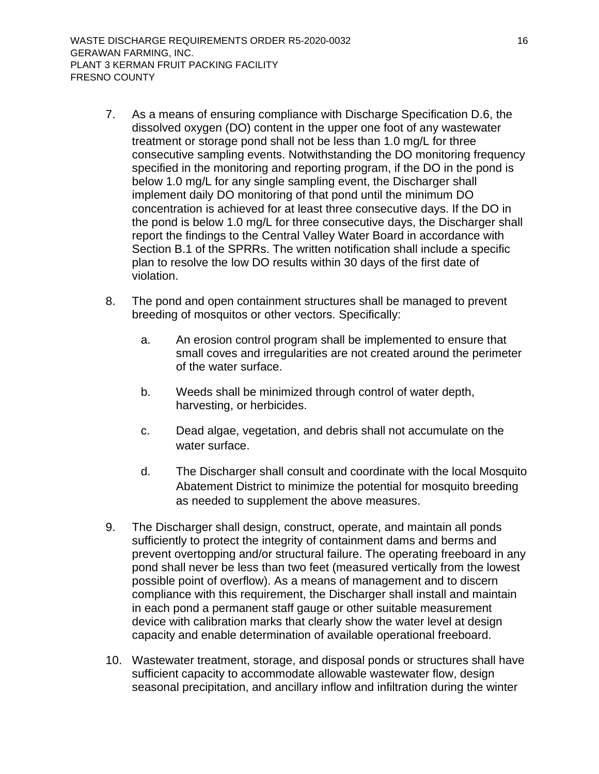- 7. As a means of ensuring compliance with Discharge Specification D.6, the dissolved oxygen (DO) content in the upper one foot of any wastewater treatment or storage pond shall not be less than 1.0 mg/L for three consecutive sampling events. Notwithstanding the DO monitoring frequency specified in the monitoring and reporting program, if the DO in the pond is below 1.0 mg/L for any single sampling event, the Discharger shall implement daily DO monitoring of that pond until the minimum DO concentration is achieved for at least three consecutive days. If the DO in the pond is below 1.0 mg/L for three consecutive days, the Discharger shall report the findings to the Central Valley Water Board in accordance with Section B.1 of the SPRRs. The written notification shall include a specific plan to resolve the low DO results within 30 days of the first date of violation.
- 8. The pond and open containment structures shall be managed to prevent breeding of mosquitos or other vectors. Specifically:
	- a. An erosion control program shall be implemented to ensure that small coves and irregularities are not created around the perimeter of the water surface.
	- b. Weeds shall be minimized through control of water depth, harvesting, or herbicides.
	- c. Dead algae, vegetation, and debris shall not accumulate on the water surface.
	- d. The Discharger shall consult and coordinate with the local Mosquito Abatement District to minimize the potential for mosquito breeding as needed to supplement the above measures.
- 9. The Discharger shall design, construct, operate, and maintain all ponds sufficiently to protect the integrity of containment dams and berms and prevent overtopping and/or structural failure. The operating freeboard in any pond shall never be less than two feet (measured vertically from the lowest possible point of overflow). As a means of management and to discern compliance with this requirement, the Discharger shall install and maintain in each pond a permanent staff gauge or other suitable measurement device with calibration marks that clearly show the water level at design capacity and enable determination of available operational freeboard.
- 10. Wastewater treatment, storage, and disposal ponds or structures shall have sufficient capacity to accommodate allowable wastewater flow, design seasonal precipitation, and ancillary inflow and infiltration during the winter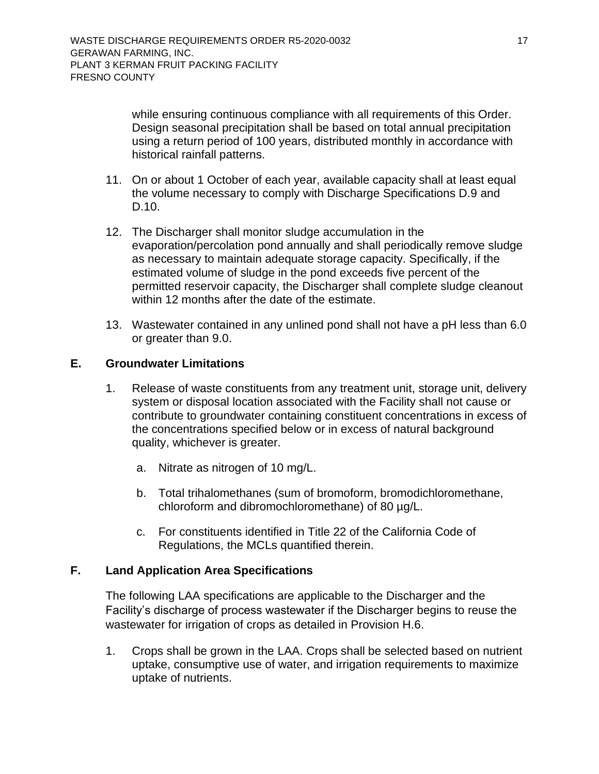while ensuring continuous compliance with all requirements of this Order. Design seasonal precipitation shall be based on total annual precipitation using a return period of 100 years, distributed monthly in accordance with historical rainfall patterns.

- 11. On or about 1 October of each year, available capacity shall at least equal the volume necessary to comply with Discharge Specifications D.9 and D.10.
- 12. The Discharger shall monitor sludge accumulation in the evaporation/percolation pond annually and shall periodically remove sludge as necessary to maintain adequate storage capacity. Specifically, if the estimated volume of sludge in the pond exceeds five percent of the permitted reservoir capacity, the Discharger shall complete sludge cleanout within 12 months after the date of the estimate.
- 13. Wastewater contained in any unlined pond shall not have a pH less than 6.0 or greater than 9.0.

## <span id="page-21-0"></span>**E. Groundwater Limitations**

- 1. Release of waste constituents from any treatment unit, storage unit, delivery system or disposal location associated with the Facility shall not cause or contribute to groundwater containing constituent concentrations in excess of the concentrations specified below or in excess of natural background quality, whichever is greater.
	- a. Nitrate as nitrogen of 10 mg/L.
	- b. Total trihalomethanes (sum of bromoform, bromodichloromethane, chloroform and dibromochloromethane) of 80 µg/L.
	- c. For constituents identified in Title 22 of the California Code of Regulations, the MCLs quantified therein.

# <span id="page-21-1"></span>**F. Land Application Area Specifications**

The following LAA specifications are applicable to the Discharger and the Facility's discharge of process wastewater if the Discharger begins to reuse the wastewater for irrigation of crops as detailed in Provision H.6.

1. Crops shall be grown in the LAA. Crops shall be selected based on nutrient uptake, consumptive use of water, and irrigation requirements to maximize uptake of nutrients.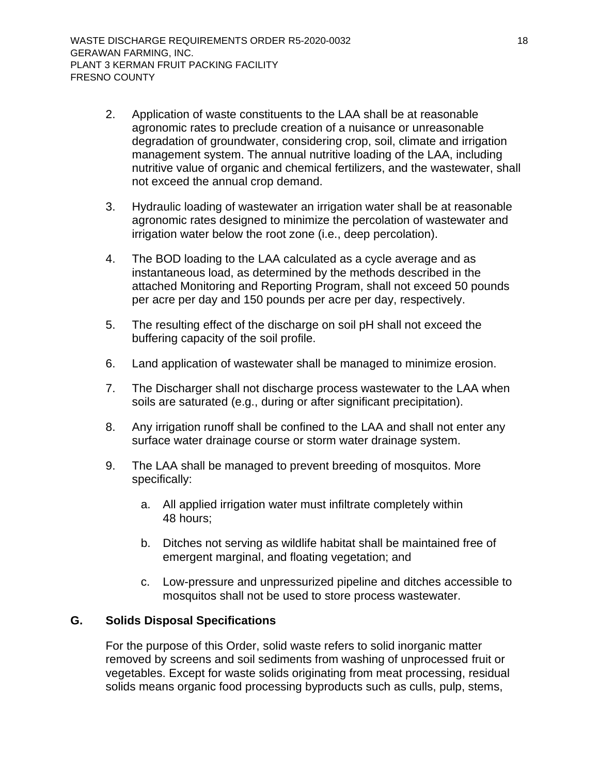- 2. Application of waste constituents to the LAA shall be at reasonable agronomic rates to preclude creation of a nuisance or unreasonable degradation of groundwater, considering crop, soil, climate and irrigation management system. The annual nutritive loading of the LAA, including nutritive value of organic and chemical fertilizers, and the wastewater, shall not exceed the annual crop demand.
- 3. Hydraulic loading of wastewater an irrigation water shall be at reasonable agronomic rates designed to minimize the percolation of wastewater and irrigation water below the root zone (i.e., deep percolation).
- 4. The BOD loading to the LAA calculated as a cycle average and as instantaneous load, as determined by the methods described in the attached Monitoring and Reporting Program, shall not exceed 50 pounds per acre per day and 150 pounds per acre per day, respectively.
- 5. The resulting effect of the discharge on soil pH shall not exceed the buffering capacity of the soil profile.
- 6. Land application of wastewater shall be managed to minimize erosion.
- 7. The Discharger shall not discharge process wastewater to the LAA when soils are saturated (e.g., during or after significant precipitation).
- 8. Any irrigation runoff shall be confined to the LAA and shall not enter any surface water drainage course or storm water drainage system.
- 9. The LAA shall be managed to prevent breeding of mosquitos. More specifically:
	- a. All applied irrigation water must infiltrate completely within 48 hours;
	- b. Ditches not serving as wildlife habitat shall be maintained free of emergent marginal, and floating vegetation; and
	- c. Low-pressure and unpressurized pipeline and ditches accessible to mosquitos shall not be used to store process wastewater.

## <span id="page-22-0"></span>**G. Solids Disposal Specifications**

For the purpose of this Order, solid waste refers to solid inorganic matter removed by screens and soil sediments from washing of unprocessed fruit or vegetables. Except for waste solids originating from meat processing, residual solids means organic food processing byproducts such as culls, pulp, stems,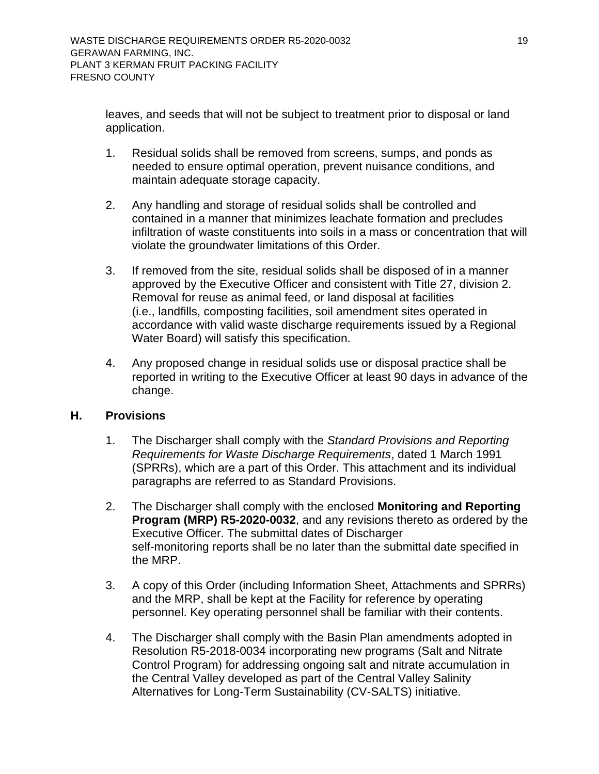leaves, and seeds that will not be subject to treatment prior to disposal or land application.

- 1. Residual solids shall be removed from screens, sumps, and ponds as needed to ensure optimal operation, prevent nuisance conditions, and maintain adequate storage capacity.
- 2. Any handling and storage of residual solids shall be controlled and contained in a manner that minimizes leachate formation and precludes infiltration of waste constituents into soils in a mass or concentration that will violate the groundwater limitations of this Order.
- 3. If removed from the site, residual solids shall be disposed of in a manner approved by the Executive Officer and consistent with Title 27, division 2. Removal for reuse as animal feed, or land disposal at facilities (i.e., landfills, composting facilities, soil amendment sites operated in accordance with valid waste discharge requirements issued by a Regional Water Board) will satisfy this specification.
- 4. Any proposed change in residual solids use or disposal practice shall be reported in writing to the Executive Officer at least 90 days in advance of the change.

# <span id="page-23-0"></span>**H. Provisions**

- 1. The Discharger shall comply with the *Standard Provisions and Reporting Requirements for Waste Discharge Requirements*, dated 1 March 1991 (SPRRs), which are a part of this Order. This attachment and its individual paragraphs are referred to as Standard Provisions.
- 2. The Discharger shall comply with the enclosed **Monitoring and Reporting Program (MRP) R5-2020-0032**, and any revisions thereto as ordered by the Executive Officer. The submittal dates of Discharger self-monitoring reports shall be no later than the submittal date specified in the MRP.
- 3. A copy of this Order (including Information Sheet, Attachments and SPRRs) and the MRP, shall be kept at the Facility for reference by operating personnel. Key operating personnel shall be familiar with their contents.
- 4. The Discharger shall comply with the Basin Plan amendments adopted in Resolution R5-2018-0034 incorporating new programs (Salt and Nitrate Control Program) for addressing ongoing salt and nitrate accumulation in the Central Valley developed as part of the Central Valley Salinity Alternatives for Long-Term Sustainability (CV-SALTS) initiative.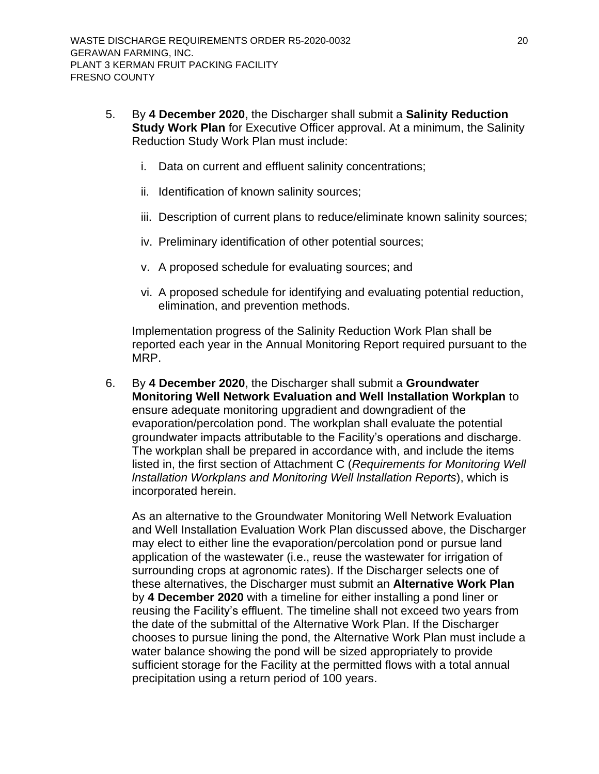- 5. By **4 December 2020**, the Discharger shall submit a **Salinity Reduction Study Work Plan** for Executive Officer approval. At a minimum, the Salinity Reduction Study Work Plan must include:
	- i. Data on current and effluent salinity concentrations;
	- ii. Identification of known salinity sources;
	- iii. Description of current plans to reduce/eliminate known salinity sources;
	- iv. Preliminary identification of other potential sources;
	- v. A proposed schedule for evaluating sources; and
	- vi. A proposed schedule for identifying and evaluating potential reduction, elimination, and prevention methods.

Implementation progress of the Salinity Reduction Work Plan shall be reported each year in the Annual Monitoring Report required pursuant to the MRP.

6. By **4 December 2020**, the Discharger shall submit a **Groundwater Monitoring Well Network Evaluation and Well lnstallation Workplan** to ensure adequate monitoring upgradient and downgradient of the evaporation/percolation pond. The workplan shall evaluate the potential groundwater impacts attributable to the Facility's operations and discharge. The workplan shall be prepared in accordance with, and include the items listed in, the first section of Attachment C (*Requirements for Monitoring Well lnstallation Workplans and Monitoring Well lnstallation Reports*), which is incorporated herein.

As an alternative to the Groundwater Monitoring Well Network Evaluation and Well Installation Evaluation Work Plan discussed above, the Discharger may elect to either line the evaporation/percolation pond or pursue land application of the wastewater (i.e., reuse the wastewater for irrigation of surrounding crops at agronomic rates). If the Discharger selects one of these alternatives, the Discharger must submit an **Alternative Work Plan** by **4 December 2020** with a timeline for either installing a pond liner or reusing the Facility's effluent. The timeline shall not exceed two years from the date of the submittal of the Alternative Work Plan. If the Discharger chooses to pursue lining the pond, the Alternative Work Plan must include a water balance showing the pond will be sized appropriately to provide sufficient storage for the Facility at the permitted flows with a total annual precipitation using a return period of 100 years.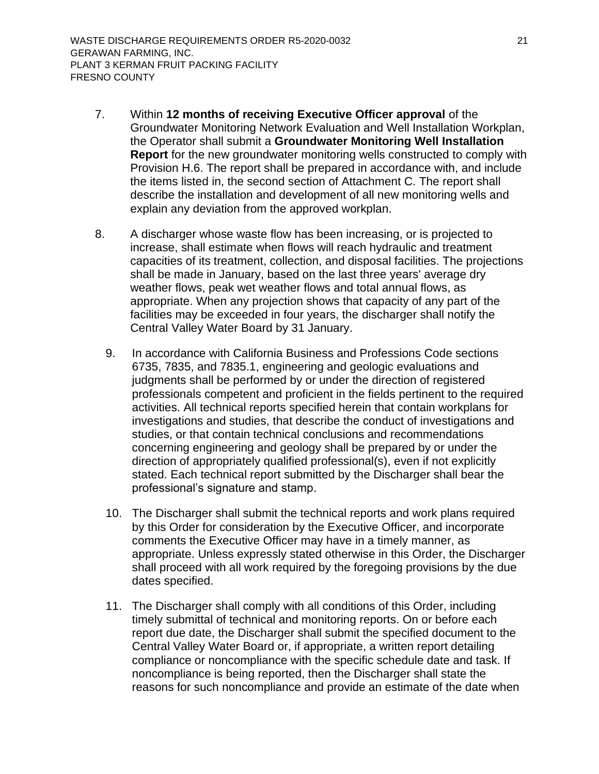- 7. Within **12 months of receiving Executive Officer approval** of the Groundwater Monitoring Network Evaluation and Well Installation Workplan, the Operator shall submit a **Groundwater Monitoring Well Installation Report** for the new groundwater monitoring wells constructed to comply with Provision H.6. The report shall be prepared in accordance with, and include the items listed in, the second section of Attachment C. The report shall describe the installation and development of all new monitoring wells and explain any deviation from the approved workplan.
- 8. A discharger whose waste flow has been increasing, or is projected to increase, shall estimate when flows will reach hydraulic and treatment capacities of its treatment, collection, and disposal facilities. The projections shall be made in January, based on the last three years' average dry weather flows, peak wet weather flows and total annual flows, as appropriate. When any projection shows that capacity of any part of the facilities may be exceeded in four years, the discharger shall notify the Central Valley Water Board by 31 January.
	- 9. In accordance with California Business and Professions Code sections 6735, 7835, and 7835.1, engineering and geologic evaluations and judgments shall be performed by or under the direction of registered professionals competent and proficient in the fields pertinent to the required activities. All technical reports specified herein that contain workplans for investigations and studies, that describe the conduct of investigations and studies, or that contain technical conclusions and recommendations concerning engineering and geology shall be prepared by or under the direction of appropriately qualified professional(s), even if not explicitly stated. Each technical report submitted by the Discharger shall bear the professional's signature and stamp.
	- 10. The Discharger shall submit the technical reports and work plans required by this Order for consideration by the Executive Officer, and incorporate comments the Executive Officer may have in a timely manner, as appropriate. Unless expressly stated otherwise in this Order, the Discharger shall proceed with all work required by the foregoing provisions by the due dates specified.
	- 11. The Discharger shall comply with all conditions of this Order, including timely submittal of technical and monitoring reports. On or before each report due date, the Discharger shall submit the specified document to the Central Valley Water Board or, if appropriate, a written report detailing compliance or noncompliance with the specific schedule date and task. If noncompliance is being reported, then the Discharger shall state the reasons for such noncompliance and provide an estimate of the date when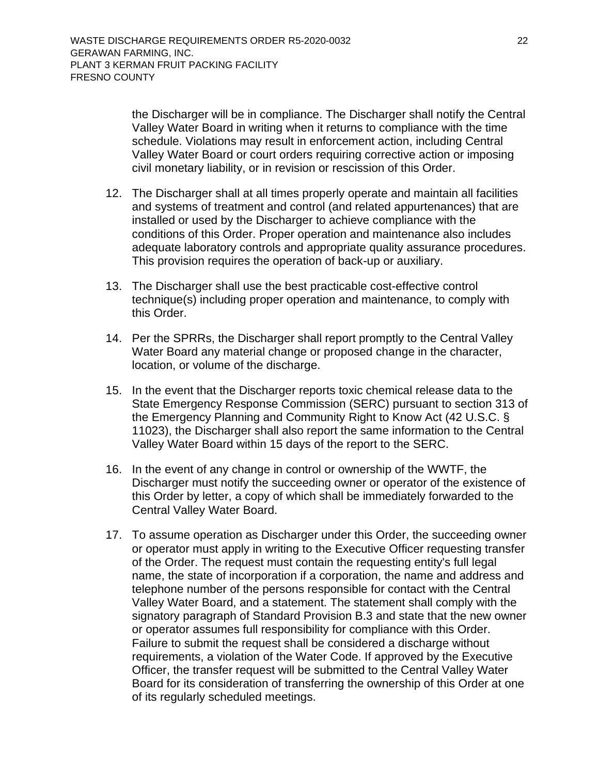the Discharger will be in compliance. The Discharger shall notify the Central Valley Water Board in writing when it returns to compliance with the time schedule. Violations may result in enforcement action, including Central Valley Water Board or court orders requiring corrective action or imposing civil monetary liability, or in revision or rescission of this Order.

- 12. The Discharger shall at all times properly operate and maintain all facilities and systems of treatment and control (and related appurtenances) that are installed or used by the Discharger to achieve compliance with the conditions of this Order. Proper operation and maintenance also includes adequate laboratory controls and appropriate quality assurance procedures. This provision requires the operation of back-up or auxiliary.
- 13. The Discharger shall use the best practicable cost-effective control technique(s) including proper operation and maintenance, to comply with this Order.
- 14. Per the SPRRs, the Discharger shall report promptly to the Central Valley Water Board any material change or proposed change in the character, location, or volume of the discharge.
- 15. In the event that the Discharger reports toxic chemical release data to the State Emergency Response Commission (SERC) pursuant to section 313 of the Emergency Planning and Community Right to Know Act (42 U.S.C. § 11023), the Discharger shall also report the same information to the Central Valley Water Board within 15 days of the report to the SERC.
- 16. In the event of any change in control or ownership of the WWTF, the Discharger must notify the succeeding owner or operator of the existence of this Order by letter, a copy of which shall be immediately forwarded to the Central Valley Water Board.
- 17. To assume operation as Discharger under this Order, the succeeding owner or operator must apply in writing to the Executive Officer requesting transfer of the Order. The request must contain the requesting entity's full legal name, the state of incorporation if a corporation, the name and address and telephone number of the persons responsible for contact with the Central Valley Water Board, and a statement. The statement shall comply with the signatory paragraph of Standard Provision B.3 and state that the new owner or operator assumes full responsibility for compliance with this Order. Failure to submit the request shall be considered a discharge without requirements, a violation of the Water Code. If approved by the Executive Officer, the transfer request will be submitted to the Central Valley Water Board for its consideration of transferring the ownership of this Order at one of its regularly scheduled meetings.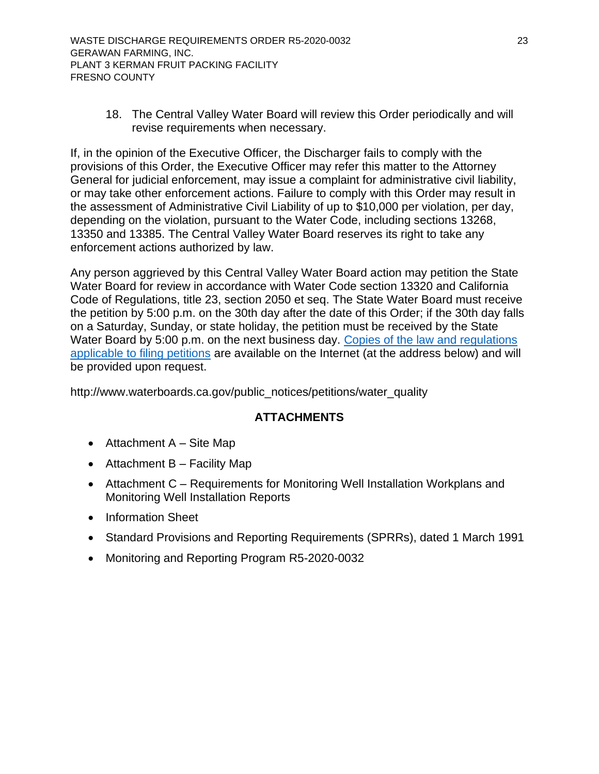18. The Central Valley Water Board will review this Order periodically and will revise requirements when necessary.

If, in the opinion of the Executive Officer, the Discharger fails to comply with the provisions of this Order, the Executive Officer may refer this matter to the Attorney General for judicial enforcement, may issue a complaint for administrative civil liability, or may take other enforcement actions. Failure to comply with this Order may result in the assessment of Administrative Civil Liability of up to \$10,000 per violation, per day, depending on the violation, pursuant to the Water Code, including sections 13268, 13350 and 13385. The Central Valley Water Board reserves its right to take any enforcement actions authorized by law.

Any person aggrieved by this Central Valley Water Board action may petition the State Water Board for review in accordance with Water Code section 13320 and California Code of Regulations, title 23, section 2050 et seq. The State Water Board must receive the petition by 5:00 p.m. on the 30th day after the date of this Order; if the 30th day falls on a Saturday, Sunday, or state holiday, the petition must be received by the State Water Board by 5:00 p.m. on the next business day. Copies of the law and regulations [applicable to filing petitions](https://www.waterboards.ca.gov/public_notices/petitions/water_quality/) are available on the Internet (at the address below) and will be provided upon request.

http://www.waterboards.ca.gov/public\_notices/petitions/water\_quality

# **ATTACHMENTS**

- Attachment  $A -$  Site Map
- Attachment  $B -$  Facility Map
- Attachment C Requirements for Monitoring Well Installation Workplans and Monitoring Well Installation Reports
- Information Sheet
- Standard Provisions and Reporting Requirements (SPRRs), dated 1 March 1991
- Monitoring and Reporting Program [R5-2020-0032](#page-0-1)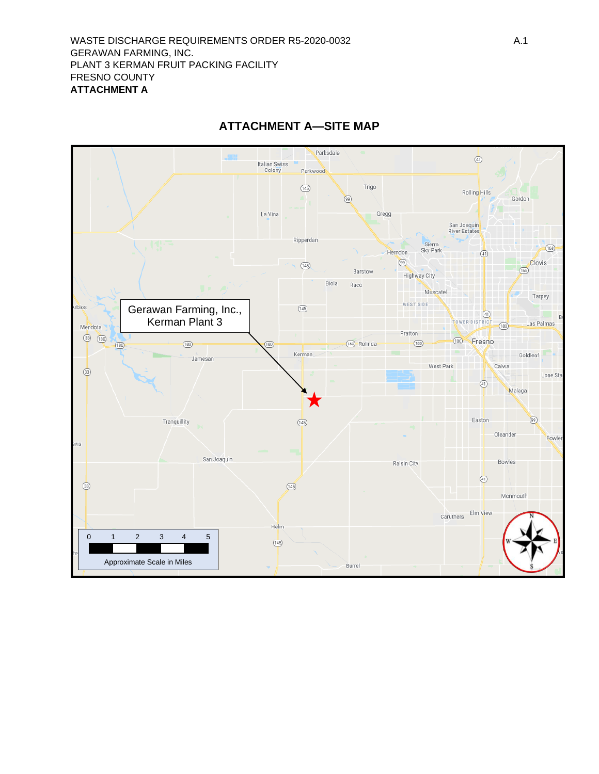<span id="page-28-0"></span>

# **ATTACHMENT A—SITE MAP**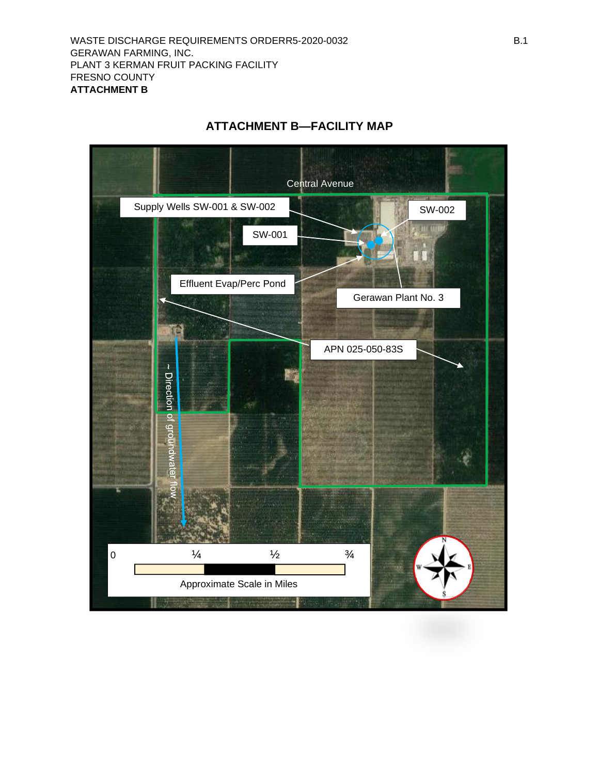<span id="page-29-0"></span>

# **ATTACHMENT B—FACILITY MAP**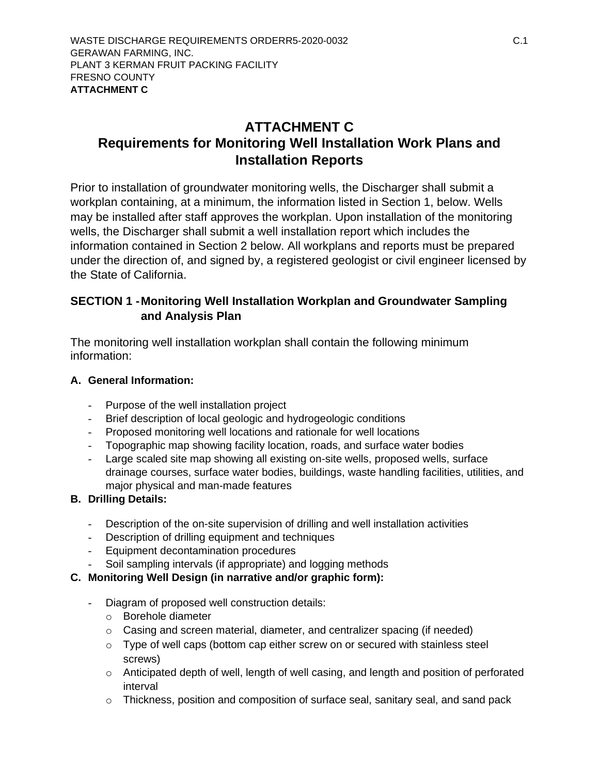# <span id="page-30-0"></span>**ATTACHMENT C Requirements for Monitoring Well Installation Work Plans and Installation Reports**

Prior to installation of groundwater monitoring wells, the Discharger shall submit a workplan containing, at a minimum, the information listed in Section 1, below. Wells may be installed after staff approves the workplan. Upon installation of the monitoring wells, the Discharger shall submit a well installation report which includes the information contained in Section 2 below. All workplans and reports must be prepared under the direction of, and signed by, a registered geologist or civil engineer licensed by the State of California.

# **SECTION 1 - Monitoring Well Installation Workplan and Groundwater Sampling and Analysis Plan**

The monitoring well installation workplan shall contain the following minimum information:

## **A. General Information:**

- Purpose of the well installation project
- Brief description of local geologic and hydrogeologic conditions
- Proposed monitoring well locations and rationale for well locations
- Topographic map showing facility location, roads, and surface water bodies
- Large scaled site map showing all existing on-site wells, proposed wells, surface drainage courses, surface water bodies, buildings, waste handling facilities, utilities, and major physical and man-made features

# **B. Drilling Details:**

- Description of the on-site supervision of drilling and well installation activities
- Description of drilling equipment and techniques
- Equipment decontamination procedures
- Soil sampling intervals (if appropriate) and logging methods

# **C. Monitoring Well Design (in narrative and/or graphic form):**

- Diagram of proposed well construction details:
	- o Borehole diameter
	- $\circ$  Casing and screen material, diameter, and centralizer spacing (if needed)
	- o Type of well caps (bottom cap either screw on or secured with stainless steel screws)
	- o Anticipated depth of well, length of well casing, and length and position of perforated interval
	- $\circ$  Thickness, position and composition of surface seal, sanitary seal, and sand pack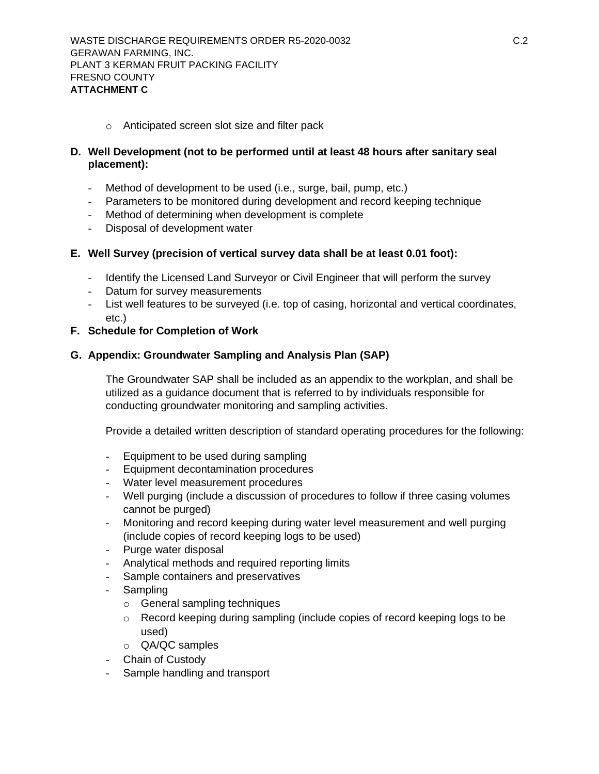o Anticipated screen slot size and filter pack

### **D. Well Development (not to be performed until at least 48 hours after sanitary seal placement):**

- Method of development to be used (i.e., surge, bail, pump, etc.)
- Parameters to be monitored during development and record keeping technique
- Method of determining when development is complete
- Disposal of development water

#### **E. Well Survey (precision of vertical survey data shall be at least 0.01 foot):**

- Identify the Licensed Land Surveyor or Civil Engineer that will perform the survey
- Datum for survey measurements
- List well features to be surveyed (i.e. top of casing, horizontal and vertical coordinates, etc.)

#### **F. Schedule for Completion of Work**

#### **G. Appendix: Groundwater Sampling and Analysis Plan (SAP)**

The Groundwater SAP shall be included as an appendix to the workplan, and shall be utilized as a guidance document that is referred to by individuals responsible for conducting groundwater monitoring and sampling activities.

Provide a detailed written description of standard operating procedures for the following:

- Equipment to be used during sampling
- Equipment decontamination procedures
- Water level measurement procedures
- Well purging (include a discussion of procedures to follow if three casing volumes cannot be purged)
- Monitoring and record keeping during water level measurement and well purging (include copies of record keeping logs to be used)
- Purge water disposal
- Analytical methods and required reporting limits
- Sample containers and preservatives
- Sampling
	- o General sampling techniques
	- o Record keeping during sampling (include copies of record keeping logs to be used)
	- o QA/QC samples
- Chain of Custody
- Sample handling and transport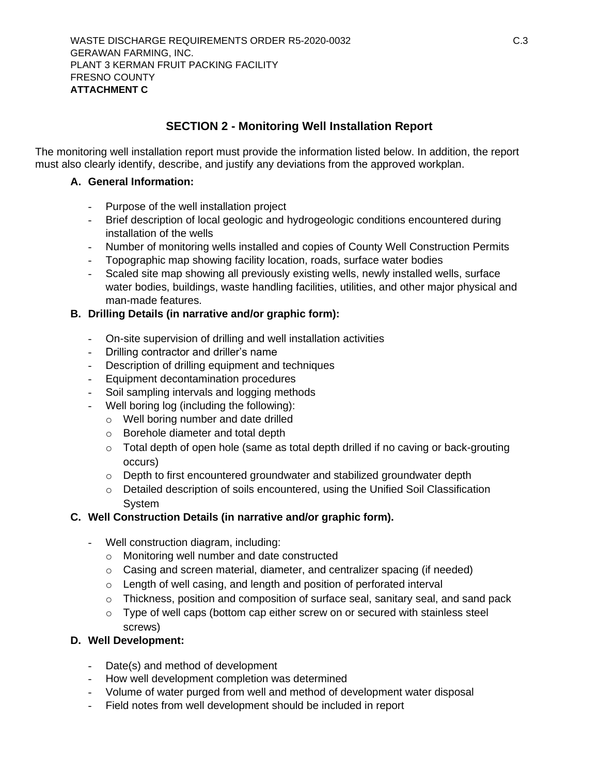## **SECTION 2 - Monitoring Well Installation Report**

The monitoring well installation report must provide the information listed below. In addition, the report must also clearly identify, describe, and justify any deviations from the approved workplan.

### **A. General Information:**

- Purpose of the well installation project
- Brief description of local geologic and hydrogeologic conditions encountered during installation of the wells
- Number of monitoring wells installed and copies of County Well Construction Permits
- Topographic map showing facility location, roads, surface water bodies
- Scaled site map showing all previously existing wells, newly installed wells, surface water bodies, buildings, waste handling facilities, utilities, and other major physical and man-made features.

### **B. Drilling Details (in narrative and/or graphic form):**

- On-site supervision of drilling and well installation activities
- Drilling contractor and driller's name
- Description of drilling equipment and techniques
- Equipment decontamination procedures
- Soil sampling intervals and logging methods
- Well boring log (including the following):
	- o Well boring number and date drilled
	- o Borehole diameter and total depth
	- $\circ$  Total depth of open hole (same as total depth drilled if no caving or back-grouting occurs)
	- o Depth to first encountered groundwater and stabilized groundwater depth
	- o Detailed description of soils encountered, using the Unified Soil Classification System

### **C. Well Construction Details (in narrative and/or graphic form).**

- Well construction diagram, including:
	- o Monitoring well number and date constructed
	- $\circ$  Casing and screen material, diameter, and centralizer spacing (if needed)
	- o Length of well casing, and length and position of perforated interval
	- $\circ$  Thickness, position and composition of surface seal, sanitary seal, and sand pack
	- o Type of well caps (bottom cap either screw on or secured with stainless steel screws)

### **D. Well Development:**

- Date(s) and method of development
- How well development completion was determined
- Volume of water purged from well and method of development water disposal
- Field notes from well development should be included in report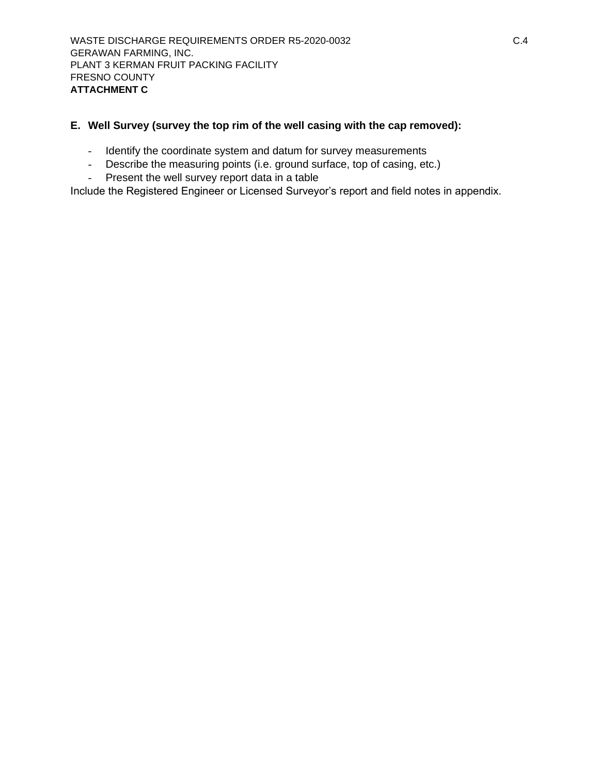### **E. Well Survey (survey the top rim of the well casing with the cap removed):**

- Identify the coordinate system and datum for survey measurements
- Describe the measuring points (i.e. ground surface, top of casing, etc.)
- Present the well survey report data in a table

Include the Registered Engineer or Licensed Surveyor's report and field notes in appendix.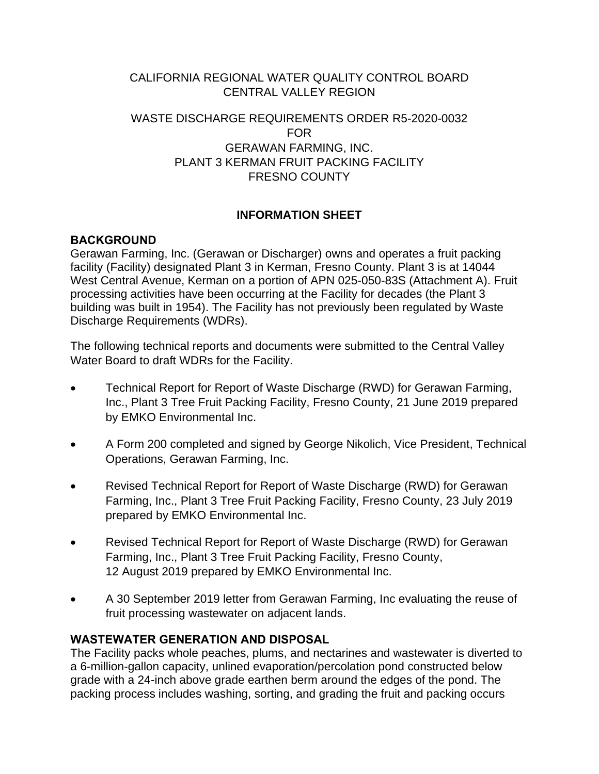# CALIFORNIA REGIONAL WATER QUALITY CONTROL BOARD CENTRAL VALLEY REGION

# [WASTE DISCHARGE REQUIREMENTS ORDER](#page-0-0) [R5-2020-0032](#page-0-1)  FOR [GERAWAN FARMING, INC.](#page-0-2)  [PLANT 3 KERMAN FRUIT PACKING FACILITY](#page-0-3)  [FRESNO COUNTY](#page-0-4)

# **INFORMATION SHEET**

# <span id="page-34-0"></span>**BACKGROUND**

Gerawan Farming, Inc. (Gerawan or Discharger) owns and operates a fruit packing facility (Facility) designated Plant 3 in Kerman, Fresno County. Plant 3 is at 14044 West Central Avenue, Kerman on a portion of APN 025-050-83S (Attachment A). Fruit processing activities have been occurring at the Facility for decades (the Plant 3 building was built in 1954). The Facility has not previously been regulated by Waste Discharge Requirements (WDRs).

The following technical reports and documents were submitted to the Central Valley Water Board to draft WDRs for the Facility.

- Technical Report for Report of Waste Discharge (RWD) for Gerawan Farming, Inc., Plant 3 Tree Fruit Packing Facility, Fresno County, 21 June 2019 prepared by EMKO Environmental Inc.
- A Form 200 completed and signed by George Nikolich, Vice President, Technical Operations, Gerawan Farming, Inc.
- Revised Technical Report for Report of Waste Discharge (RWD) for Gerawan Farming, Inc., Plant 3 Tree Fruit Packing Facility, Fresno County, 23 July 2019 prepared by EMKO Environmental Inc.
- Revised Technical Report for Report of Waste Discharge (RWD) for Gerawan Farming, Inc., Plant 3 Tree Fruit Packing Facility, Fresno County, 12 August 2019 prepared by EMKO Environmental Inc.
- A 30 September 2019 letter from Gerawan Farming, Inc evaluating the reuse of fruit processing wastewater on adjacent lands.

# **WASTEWATER GENERATION AND DISPOSAL**

The Facility packs whole peaches, plums, and nectarines and wastewater is diverted to a 6-million-gallon capacity, unlined evaporation/percolation pond constructed below grade with a 24-inch above grade earthen berm around the edges of the pond. The packing process includes washing, sorting, and grading the fruit and packing occurs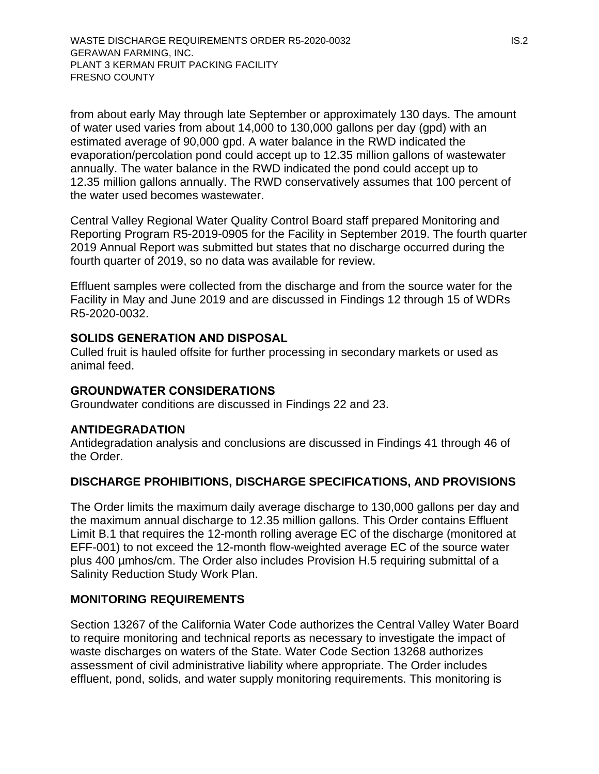from about early May through late September or approximately 130 days. The amount of water used varies from about 14,000 to 130,000 gallons per day (gpd) with an estimated average of 90,000 gpd. A water balance in the RWD indicated the evaporation/percolation pond could accept up to 12.35 million gallons of wastewater annually. The water balance in the RWD indicated the pond could accept up to 12.35 million gallons annually. The RWD conservatively assumes that 100 percent of the water used becomes wastewater.

Central Valley Regional Water Quality Control Board staff prepared Monitoring and Reporting Program R5-2019-0905 for the Facility in September 2019. The fourth quarter 2019 Annual Report was submitted but states that no discharge occurred during the fourth quarter of 2019, so no data was available for review.

Effluent samples were collected from the discharge and from the source water for the Facility in May and June 2019 and are discussed in Findings 12 through 15 of WDRs R5-2020-0032.

## **SOLIDS GENERATION AND DISPOSAL**

Culled fruit is hauled offsite for further processing in secondary markets or used as animal feed.

## **GROUNDWATER CONSIDERATIONS**

Groundwater conditions are discussed in Findings 22 and 23.

## **ANTIDEGRADATION**

Antidegradation analysis and conclusions are discussed in Findings 41 through 46 of the Order.

# **DISCHARGE PROHIBITIONS, DISCHARGE SPECIFICATIONS, AND PROVISIONS**

The Order limits the maximum daily average discharge to 130,000 gallons per day and the maximum annual discharge to 12.35 million gallons. This Order contains Effluent Limit B.1 that requires the 12-month rolling average EC of the discharge (monitored at EFF-001) to not exceed the 12-month flow-weighted average EC of the source water plus 400 µmhos/cm. The Order also includes Provision H.5 requiring submittal of a Salinity Reduction Study Work Plan.

## **MONITORING REQUIREMENTS**

Section 13267 of the California Water Code authorizes the Central Valley Water Board to require monitoring and technical reports as necessary to investigate the impact of waste discharges on waters of the State. Water Code Section 13268 authorizes assessment of civil administrative liability where appropriate. The Order includes effluent, pond, solids, and water supply monitoring requirements. This monitoring is